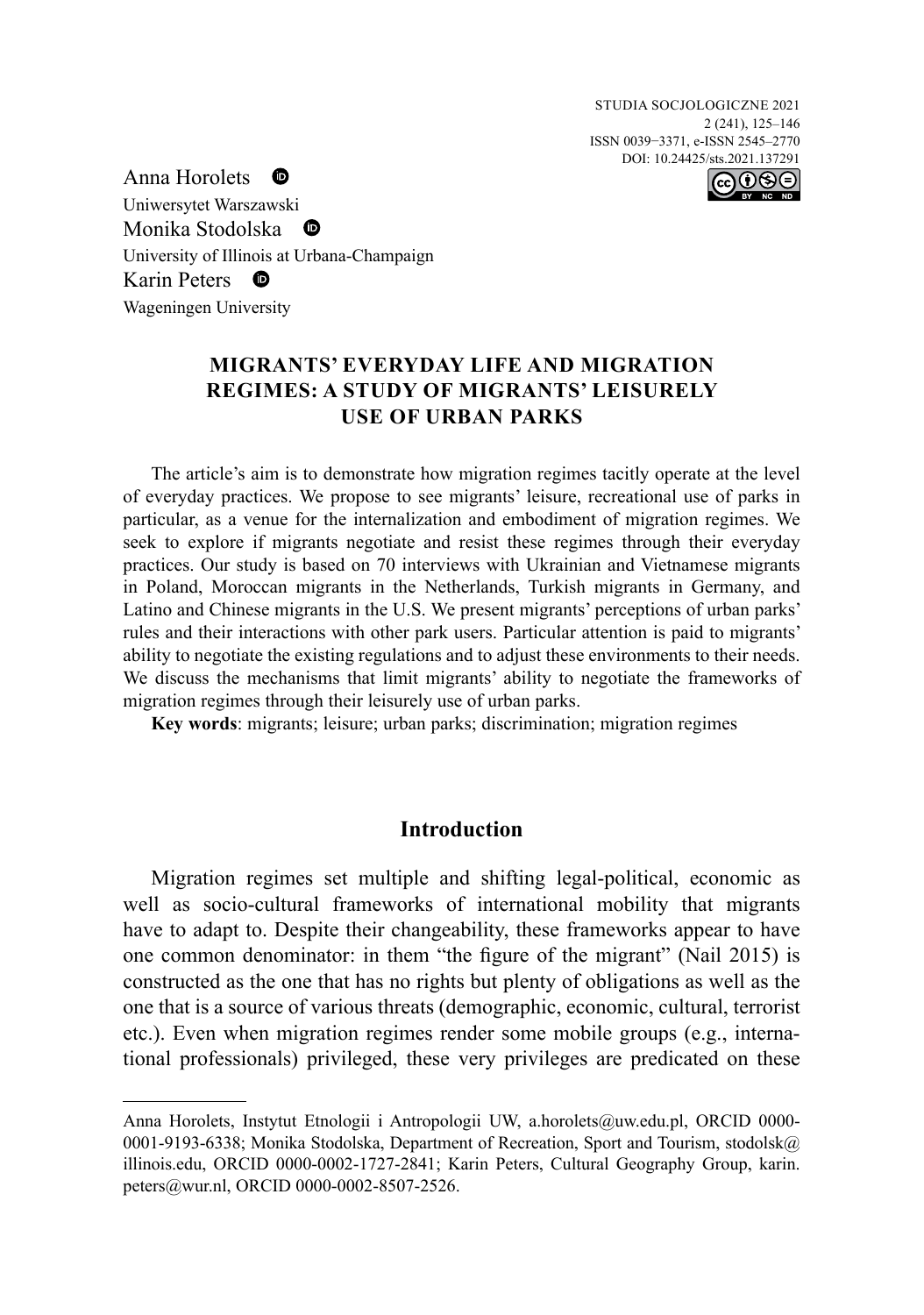Studia Socjologiczne 2021 2 (241), 125–146 ISSN 0039−3371, e-ISSN 2545–2770 DOI: 10.24425/sts.2021.137291



Anna Horolets  $\bullet$ Uniwersytet Warszawski Monika Stodolska Ð University of Illinois at Urbana-Champaign Karin Peters  $\bullet$ Wageningen University

# **Migrants' Everyday Life and Migration Regimes: A Study of Migrants' Leisurely Use of Urban Parks**

The article's aim is to demonstrate how migration regimes tacitly operate at the level of everyday practices. We propose to see migrants' leisure, recreational use of parks in particular, as a venue for the internalization and embodiment of migration regimes. We seek to explore if migrants negotiate and resist these regimes through their everyday practices. Our study is based on 70 interviews with Ukrainian and Vietnamese migrants in Poland, Moroccan migrants in the Netherlands, Turkish migrants in Germany, and Latino and Chinese migrants in the U.S. We present migrants' perceptions of urban parks' rules and their interactions with other park users. Particular attention is paid to migrants' ability to negotiate the existing regulations and to adjust these environments to their needs. We discuss the mechanisms that limit migrants' ability to negotiate the frameworks of migration regimes through their leisurely use of urban parks.

**Key words**: migrants; leisure; urban parks; discrimination; migration regimes

## **Introduction**

Migration regimes set multiple and shifting legal-political, economic as well as socio-cultural frameworks of international mobility that migrants have to adapt to. Despite their changeability, these frameworks appear to have one common denominator: in them "the figure of the migrant" (Nail 2015) is constructed as the one that has no rights but plenty of obligations as well as the one that is a source of various threats (demographic, economic, cultural, terrorist etc.). Even when migration regimes render some mobile groups (e.g., international professionals) privileged, these very privileges are predicated on these

Anna Horolets, Instytut Etnologii i Antropologii UW, [a.horolets@uw.edu.pl](mailto:a.horolets@uw.edu.pl), ORCID [0000-](https://orcid.org/0000-0001-9193-6338) [0001-9193-6338;](https://orcid.org/0000-0001-9193-6338) Monika Stodolska, Department of Recreation, Sport and Tourism, [stodolsk@](mailto:stodolsk@illinois.edu) [illinois.edu](mailto:stodolsk@illinois.edu), ORCID [0000-0002-1727-2841;](https://orcid.org/0000-0002-1727-2841) Karin Peters, Cultural Geography Group, [karin.](mailto:karin.peters@wur.nl) [peters@wur.nl](mailto:karin.peters@wur.nl), ORCID [0000-0002-8507-2526](https://orcid.org/0000-0002-8507-2526).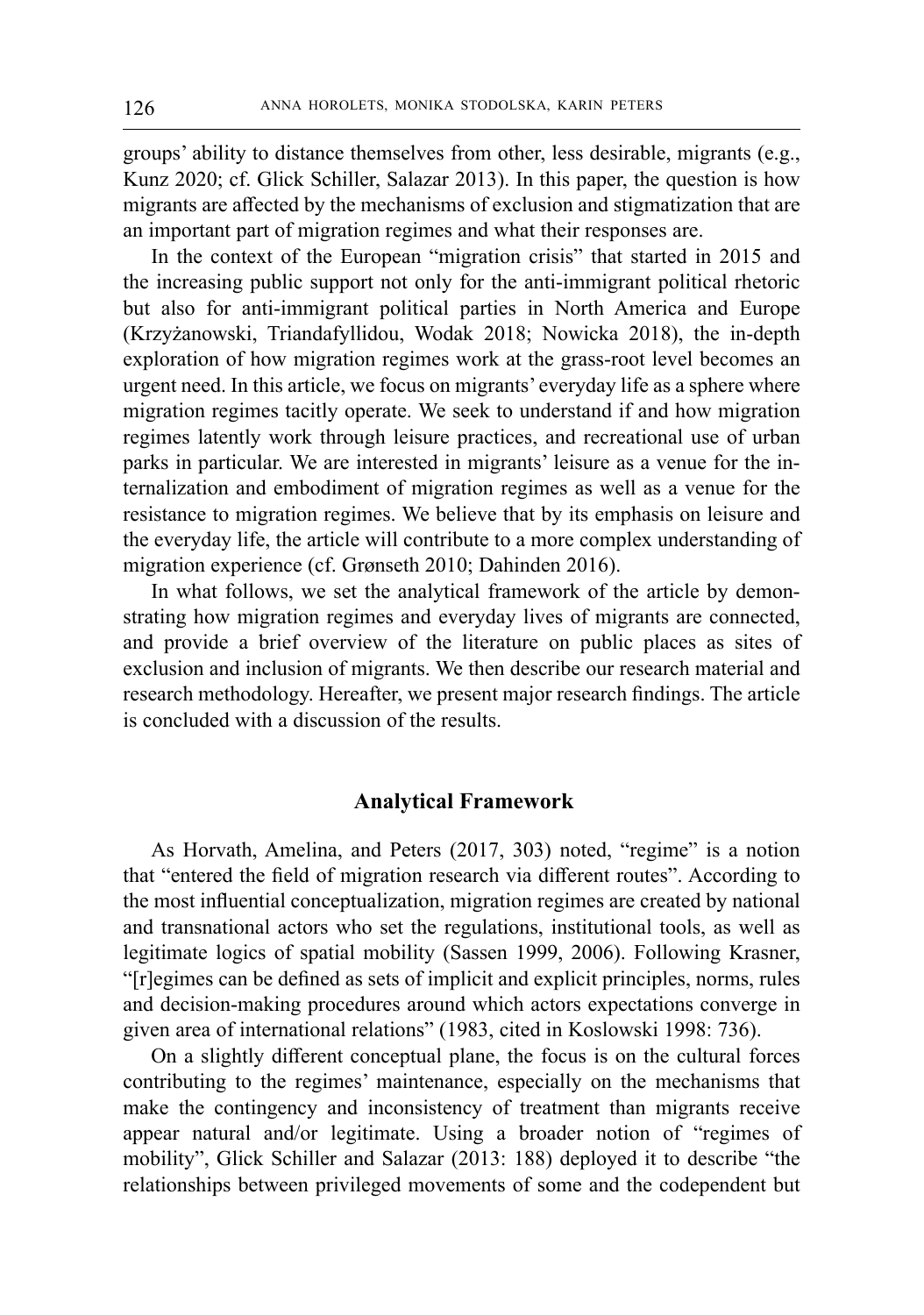groups' ability to distance themselves from other, less desirable, migrants (e.g., Kunz 2020; cf. Glick Schiller, Salazar 2013). In this paper, the question is how migrants are affected by the mechanisms of exclusion and stigmatization that are an important part of migration regimes and what their responses are.

In the context of the European "migration crisis" that started in 2015 and the increasing public support not only for the anti-immigrant political rhetoric but also for anti-immigrant political parties in North America and Europe (Krzyżanowski, Triandafyllidou, Wodak 2018; Nowicka 2018), the in-depth exploration of how migration regimes work at the grass-root level becomes an urgent need. In this article, we focus on migrants' everyday life as a sphere where migration regimes tacitly operate. We seek to understand if and how migration regimes latently work through leisure practices, and recreational use of urban parks in particular. We are interested in migrants' leisure as a venue for the internalization and embodiment of migration regimes as well as a venue for the resistance to migration regimes. We believe that by its emphasis on leisure and the everyday life, the article will contribute to a more complex understanding of migration experience (cf. Grønseth 2010; Dahinden 2016).

In what follows, we set the analytical framework of the article by demonstrating how migration regimes and everyday lives of migrants are connected, and provide a brief overview of the literature on public places as sites of exclusion and inclusion of migrants. We then describe our research material and research methodology. Hereafter, we present major research findings. The article is concluded with a discussion of the results.

# **Analytical Framework**

As Horvath, Amelina, and Peters (2017, 303) noted, "regime" is a notion that "entered the field of migration research via different routes". According to the most influential conceptualization, migration regimes are created by national and transnational actors who set the regulations, institutional tools, as well as legitimate logics of spatial mobility (Sassen 1999, 2006). Following Krasner, "[r]egimes can be defined as sets of implicit and explicit principles, norms, rules and decision-making procedures around which actors expectations converge in given area of international relations" (1983, cited in Koslowski 1998: 736).

On a slightly different conceptual plane, the focus is on the cultural forces contributing to the regimes' maintenance, especially on the mechanisms that make the contingency and inconsistency of treatment than migrants receive appear natural and/or legitimate. Using a broader notion of "regimes of mobility", Glick Schiller and Salazar (2013: 188) deployed it to describe "the relationships between privileged movements of some and the codependent but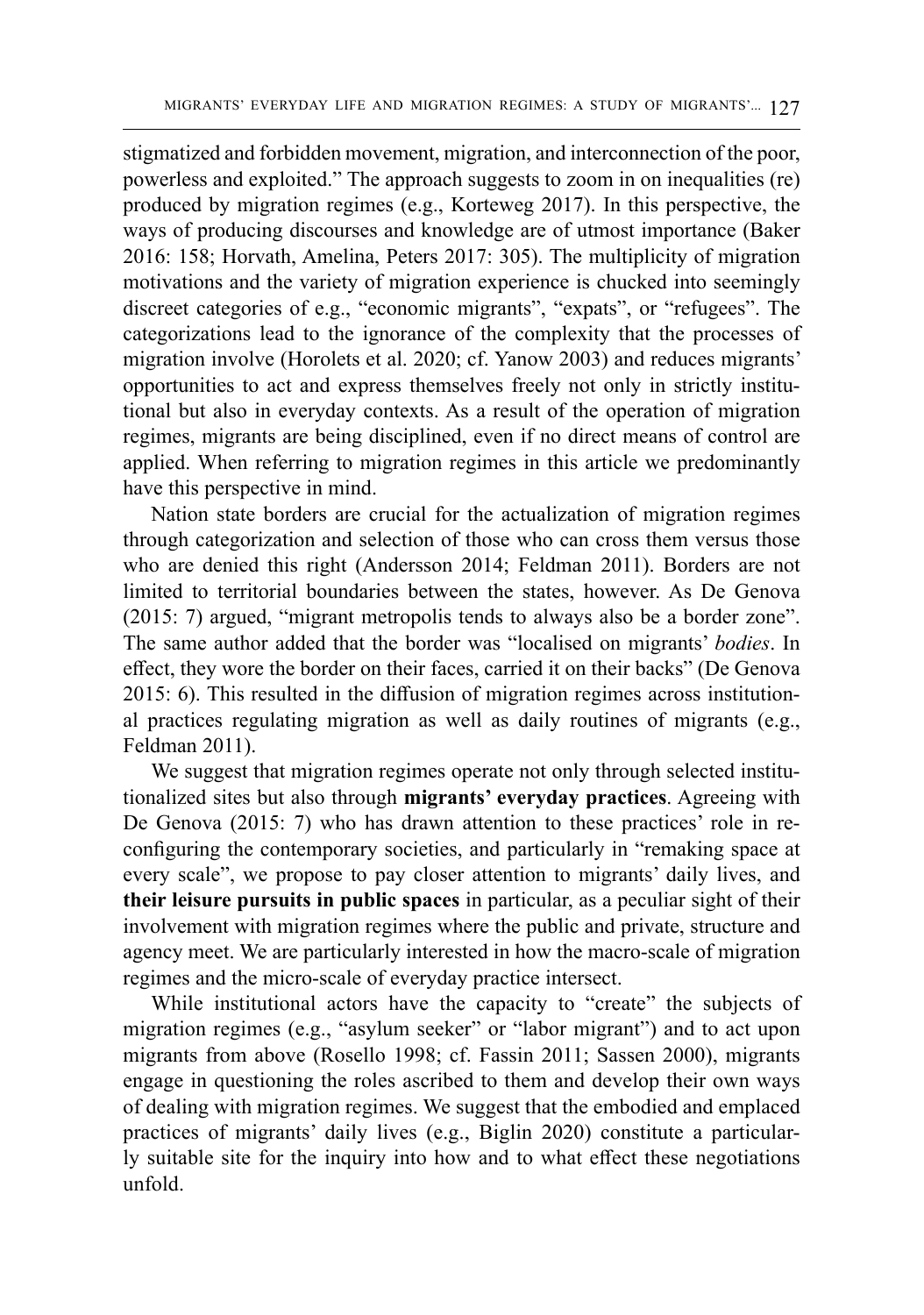stigmatized and forbidden movement, migration, and interconnection of the poor, powerless and exploited." The approach suggests to zoom in on inequalities (re) produced by migration regimes (e.g., Korteweg 2017). In this perspective, the ways of producing discourses and knowledge are of utmost importance (Baker 2016: 158; Horvath, Amelina, Peters 2017: 305). The multiplicity of migration motivations and the variety of migration experience is chucked into seemingly discreet categories of e.g., "economic migrants", "expats", or "refugees". The categorizations lead to the ignorance of the complexity that the processes of migration involve (Horolets et al. 2020; cf. Yanow 2003) and reduces migrants' opportunities to act and express themselves freely not only in strictly institutional but also in everyday contexts. As a result of the operation of migration regimes, migrants are being disciplined, even if no direct means of control are applied. When referring to migration regimes in this article we predominantly have this perspective in mind.

Nation state borders are crucial for the actualization of migration regimes through categorization and selection of those who can cross them versus those who are denied this right (Andersson 2014; Feldman 2011). Borders are not limited to territorial boundaries between the states, however. As De Genova (2015: 7) argued, "migrant metropolis tends to always also be a border zone". The same author added that the border was "localised on migrants' *bodies*. In effect, they wore the border on their faces, carried it on their backs" (De Genova 2015: 6). This resulted in the diffusion of migration regimes across institutional practices regulating migration as well as daily routines of migrants (e.g., Feldman 2011).

We suggest that migration regimes operate not only through selected institutionalized sites but also through **migrants' everyday practices**. Agreeing with De Genova (2015: 7) who has drawn attention to these practices' role in reconfiguring the contemporary societies, and particularly in "remaking space at every scale", we propose to pay closer attention to migrants' daily lives, and **their leisure pursuits in public spaces** in particular, as a peculiar sight of their involvement with migration regimes where the public and private, structure and agency meet. We are particularly interested in how the macro-scale of migration regimes and the micro-scale of everyday practice intersect.

While institutional actors have the capacity to "create" the subjects of migration regimes (e.g., "asylum seeker" or "labor migrant") and to act upon migrants from above (Rosello 1998; cf. Fassin 2011; Sassen 2000), migrants engage in questioning the roles ascribed to them and develop their own ways of dealing with migration regimes. We suggest that the embodied and emplaced practices of migrants' daily lives (e.g., Biglin 2020) constitute a particularly suitable site for the inquiry into how and to what effect these negotiations unfold.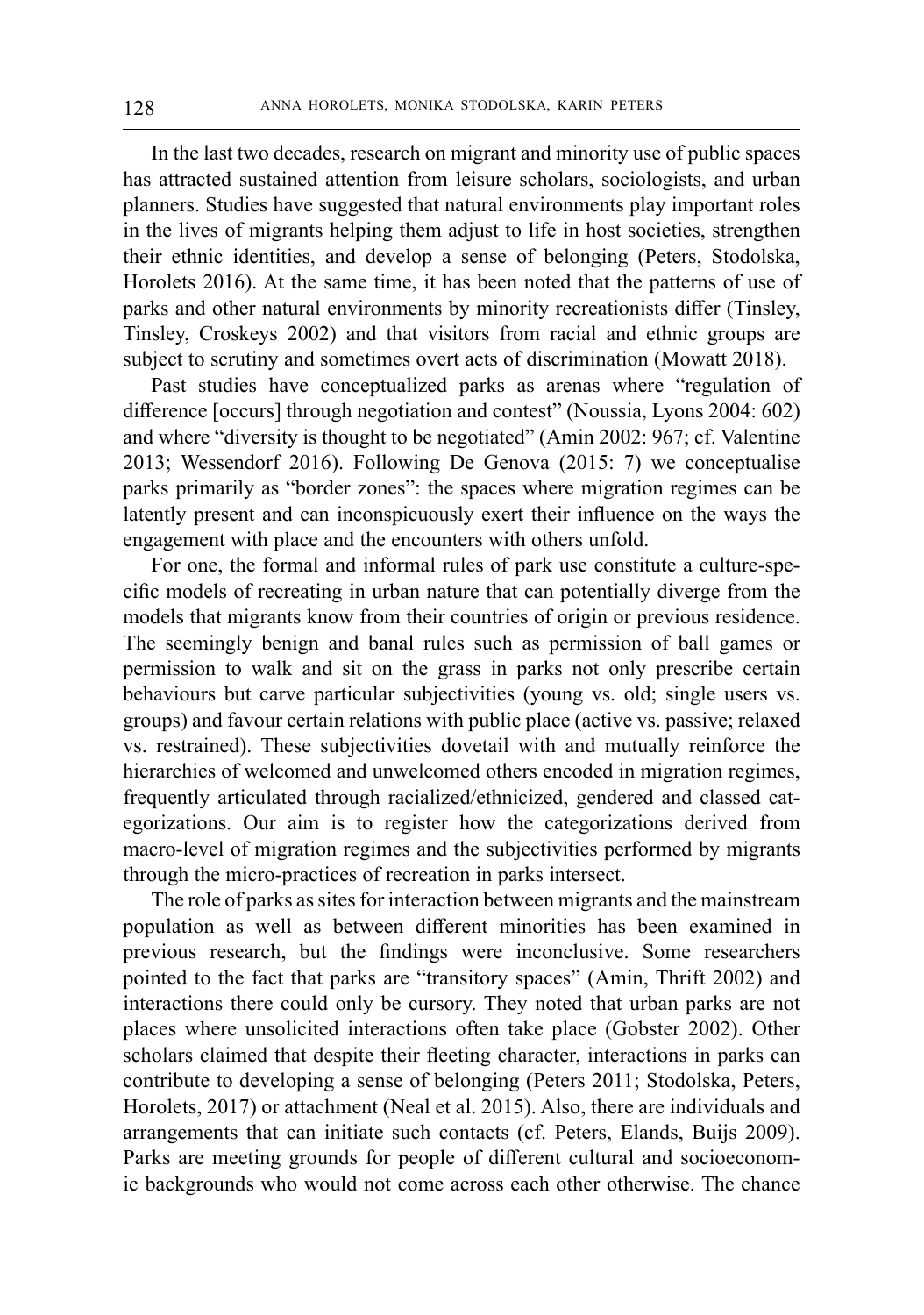In the last two decades, research on migrant and minority use of public spaces has attracted sustained attention from leisure scholars, sociologists, and urban planners. Studies have suggested that natural environments play important roles in the lives of migrants helping them adjust to life in host societies, strengthen their ethnic identities, and develop a sense of belonging (Peters, Stodolska, Horolets 2016). At the same time, it has been noted that the patterns of use of parks and other natural environments by minority recreationists differ (Tinsley, Tinsley, Croskeys 2002) and that visitors from racial and ethnic groups are subject to scrutiny and sometimes overt acts of discrimination (Mowatt 2018).

Past studies have conceptualized parks as arenas where "regulation of difference [occurs] through negotiation and contest" (Noussia, Lyons 2004: 602) and where "diversity is thought to be negotiated" (Amin 2002: 967; cf. Valentine 2013; Wessendorf 2016). Following De Genova (2015: 7) we conceptualise parks primarily as "border zones": the spaces where migration regimes can be latently present and can inconspicuously exert their influence on the ways the engagement with place and the encounters with others unfold.

For one, the formal and informal rules of park use constitute a culture-specific models of recreating in urban nature that can potentially diverge from the models that migrants know from their countries of origin or previous residence. The seemingly benign and banal rules such as permission of ball games or permission to walk and sit on the grass in parks not only prescribe certain behaviours but carve particular subjectivities (young vs. old; single users vs. groups) and favour certain relations with public place (active vs. passive; relaxed vs. restrained). These subjectivities dovetail with and mutually reinforce the hierarchies of welcomed and unwelcomed others encoded in migration regimes, frequently articulated through racialized/ethnicized, gendered and classed categorizations. Our aim is to register how the categorizations derived from macro-level of migration regimes and the subjectivities performed by migrants through the micro-practices of recreation in parks intersect.

The role of parks as sites for interaction between migrants and the mainstream population as well as between different minorities has been examined in previous research, but the findings were inconclusive. Some researchers pointed to the fact that parks are "transitory spaces" (Amin, Thrift 2002) and interactions there could only be cursory. They noted that urban parks are not places where unsolicited interactions often take place (Gobster 2002). Other scholars claimed that despite their fleeting character, interactions in parks can contribute to developing a sense of belonging (Peters 2011; Stodolska, Peters, Horolets, 2017) or attachment (Neal et al. 2015). Also, there are individuals and arrangements that can initiate such contacts (cf. Peters, Elands, Buijs 2009). Parks are meeting grounds for people of different cultural and socioeconomic backgrounds who would not come across each other otherwise. The chance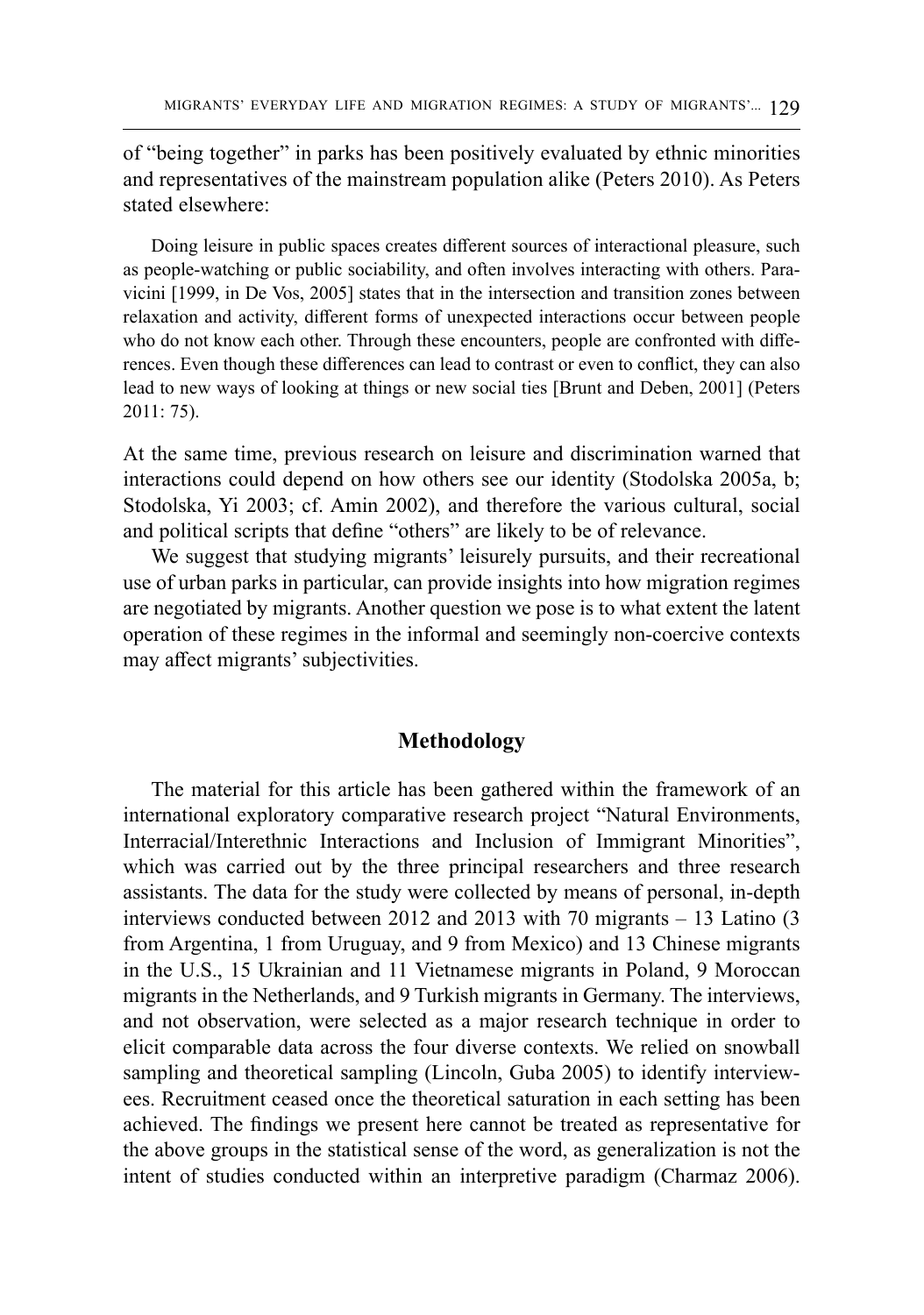of "being together" in parks has been positively evaluated by ethnic minorities and representatives of the mainstream population alike (Peters 2010). As Peters stated elsewhere:

Doing leisure in public spaces creates different sources of interactional pleasure, such as people-watching or public sociability, and often involves interacting with others. Paravicini [1999, in De Vos, 2005] states that in the intersection and transition zones between relaxation and activity, different forms of unexpected interactions occur between people who do not know each other. Through these encounters, people are confronted with differences. Even though these differences can lead to contrast or even to conflict, they can also lead to new ways of looking at things or new social ties [Brunt and Deben, 2001] (Peters 2011: 75).

At the same time, previous research on leisure and discrimination warned that interactions could depend on how others see our identity (Stodolska 2005a, b; Stodolska, Yi 2003; cf. Amin 2002), and therefore the various cultural, social and political scripts that define "others" are likely to be of relevance.

We suggest that studying migrants' leisurely pursuits, and their recreational use of urban parks in particular, can provide insights into how migration regimes are negotiated by migrants. Another question we pose is to what extent the latent operation of these regimes in the informal and seemingly non-coercive contexts may affect migrants' subjectivities.

## **Methodology**

The material for this article has been gathered within the framework of an international exploratory comparative research project "Natural Environments, Interracial/Interethnic Interactions and Inclusion of Immigrant Minorities", which was carried out by the three principal researchers and three research assistants. The data for the study were collected by means of personal, in-depth interviews conducted between 2012 and 2013 with 70 migrants – 13 Latino (3 from Argentina, 1 from Uruguay, and 9 from Mexico) and 13 Chinese migrants in the U.S., 15 Ukrainian and 11 Vietnamese migrants in Poland, 9 Moroccan migrants in the Netherlands, and 9 Turkish migrants in Germany. The interviews, and not observation, were selected as a major research technique in order to elicit comparable data across the four diverse contexts. We relied on snowball sampling and theoretical sampling (Lincoln, Guba 2005) to identify interviewees. Recruitment ceased once the theoretical saturation in each setting has been achieved. The findings we present here cannot be treated as representative for the above groups in the statistical sense of the word, as generalization is not the intent of studies conducted within an interpretive paradigm (Charmaz 2006).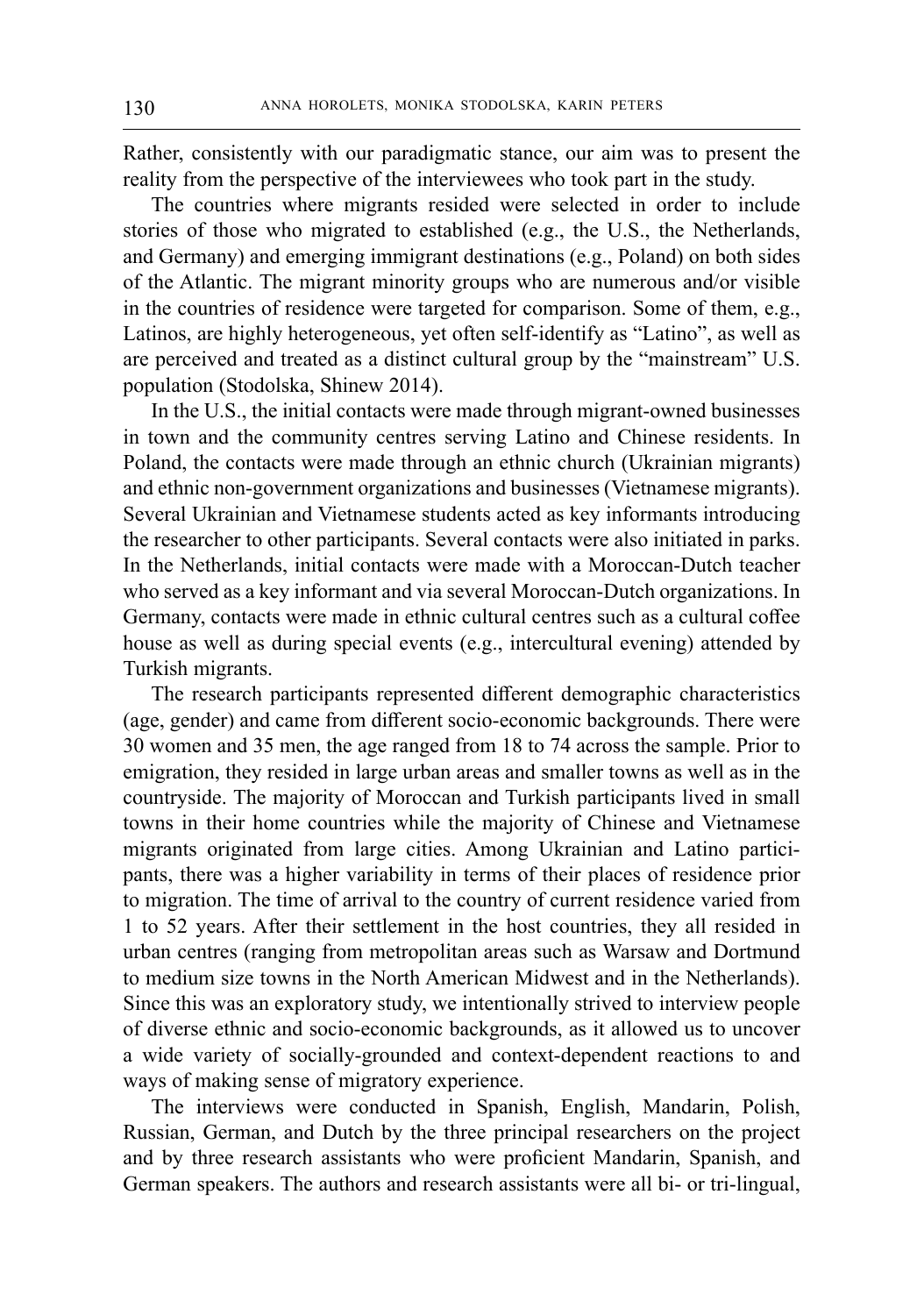Rather, consistently with our paradigmatic stance, our aim was to present the reality from the perspective of the interviewees who took part in the study.

The countries where migrants resided were selected in order to include stories of those who migrated to established (e.g., the U.S., the Netherlands, and Germany) and emerging immigrant destinations (e.g., Poland) on both sides of the Atlantic. The migrant minority groups who are numerous and/or visible in the countries of residence were targeted for comparison. Some of them, e.g., Latinos, are highly heterogeneous, yet often self-identify as "Latino", as well as are perceived and treated as a distinct cultural group by the "mainstream" U.S. population (Stodolska, Shinew 2014).

In the U.S., the initial contacts were made through migrant-owned businesses in town and the community centres serving Latino and Chinese residents. In Poland, the contacts were made through an ethnic church (Ukrainian migrants) and ethnic non-government organizations and businesses (Vietnamese migrants). Several Ukrainian and Vietnamese students acted as key informants introducing the researcher to other participants. Several contacts were also initiated in parks. In the Netherlands, initial contacts were made with a Moroccan-Dutch teacher who served as a key informant and via several Moroccan-Dutch organizations. In Germany, contacts were made in ethnic cultural centres such as a cultural coffee house as well as during special events (e.g., intercultural evening) attended by Turkish migrants.

The research participants represented different demographic characteristics (age, gender) and came from different socio-economic backgrounds. There were 30 women and 35 men, the age ranged from 18 to 74 across the sample. Prior to emigration, they resided in large urban areas and smaller towns as well as in the countryside. The majority of Moroccan and Turkish participants lived in small towns in their home countries while the majority of Chinese and Vietnamese migrants originated from large cities. Among Ukrainian and Latino participants, there was a higher variability in terms of their places of residence prior to migration. The time of arrival to the country of current residence varied from 1 to 52 years. After their settlement in the host countries, they all resided in urban centres (ranging from metropolitan areas such as Warsaw and Dortmund to medium size towns in the North American Midwest and in the Netherlands). Since this was an exploratory study, we intentionally strived to interview people of diverse ethnic and socio-economic backgrounds, as it allowed us to uncover a wide variety of socially-grounded and context-dependent reactions to and ways of making sense of migratory experience.

The interviews were conducted in Spanish, English, Mandarin, Polish, Russian, German, and Dutch by the three principal researchers on the project and by three research assistants who were proficient Mandarin, Spanish, and German speakers. The authors and research assistants were all bi- or tri-lingual,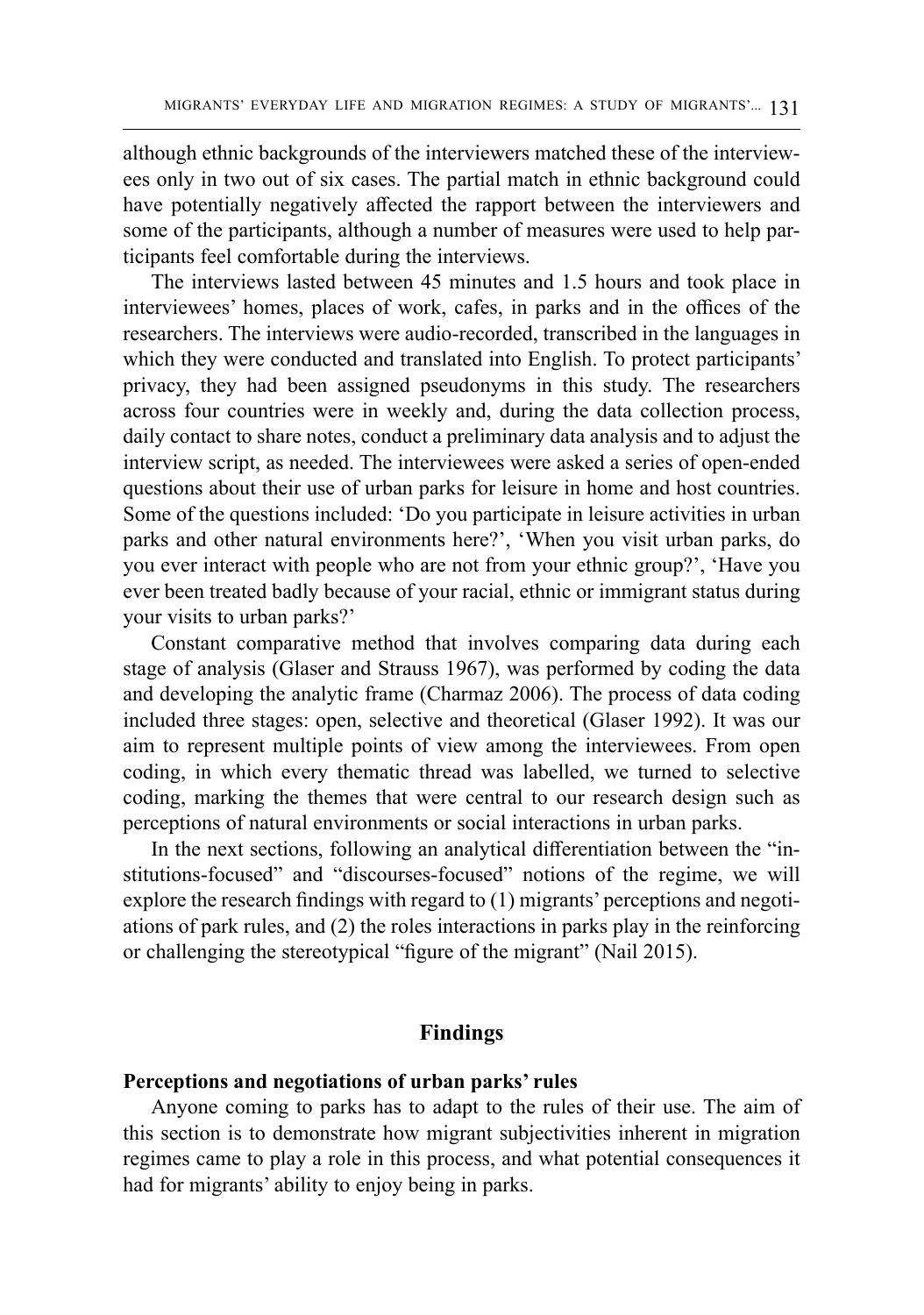although ethnic backgrounds of the interviewers matched these of the interviewees only in two out of six cases. The partial match in ethnic background could have potentially negatively affected the rapport between the interviewers and some of the participants, although a number of measures were used to help participants feel comfortable during the interviews.

The interviews lasted between 45 minutes and 1.5 hours and took place in interviewees' homes, places of work, cafes, in parks and in the offices of the researchers. The interviews were audio-recorded, transcribed in the languages in which they were conducted and translated into English. To protect participants' privacy, they had been assigned pseudonyms in this study. The researchers across four countries were in weekly and, during the data collection process, daily contact to share notes, conduct a preliminary data analysis and to adjust the interview script, as needed. The interviewees were asked a series of open-ended questions about their use of urban parks for leisure in home and host countries. Some of the questions included: 'Do you participate in leisure activities in urban parks and other natural environments here?', 'When you visit urban parks, do you ever interact with people who are not from your ethnic group?', 'Have you ever been treated badly because of your racial, ethnic or immigrant status during your visits to urban parks?'

Constant comparative method that involves comparing data during each stage of analysis (Glaser and Strauss 1967), was performed by coding the data and developing the analytic frame (Charmaz 2006). The process of data coding included three stages: open, selective and theoretical (Glaser 1992). It was our aim to represent multiple points of view among the interviewees. From open coding, in which every thematic thread was labelled, we turned to selective coding, marking the themes that were central to our research design such as perceptions of natural environments or social interactions in urban parks.

In the next sections, following an analytical differentiation between the "institutions-focused" and "discourses-focused" notions of the regime, we will explore the research findings with regard to (1) migrants' perceptions and negotiations of park rules, and (2) the roles interactions in parks play in the reinforcing or challenging the stereotypical "figure of the migrant" (Nail 2015).

#### **Findings**

#### **Perceptions and negotiations of urban parks' rules**

Anyone coming to parks has to adapt to the rules of their use. The aim of this section is to demonstrate how migrant subjectivities inherent in migration regimes came to play a role in this process, and what potential consequences it had for migrants' ability to enjoy being in parks.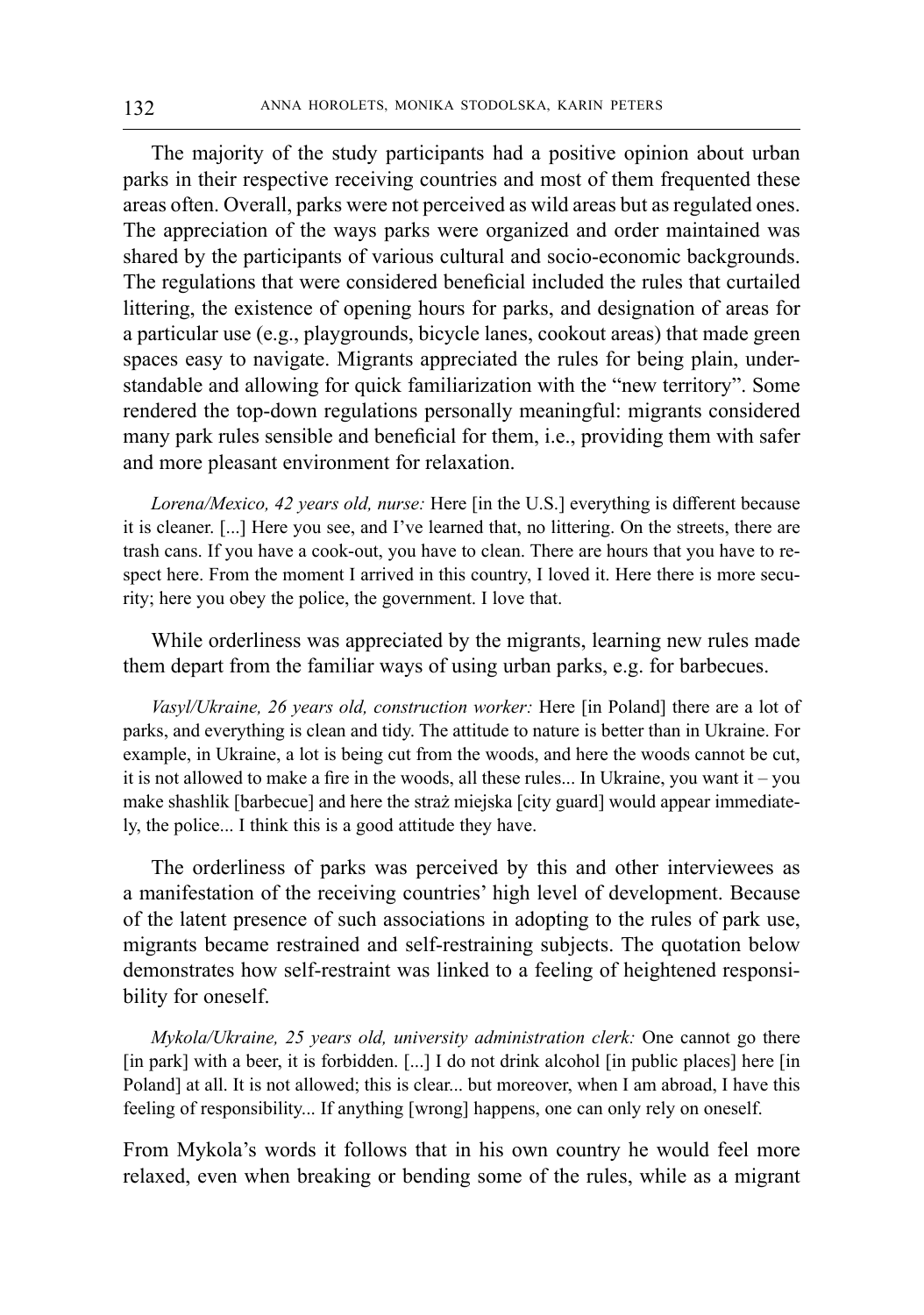The majority of the study participants had a positive opinion about urban parks in their respective receiving countries and most of them frequented these areas often. Overall, parks were not perceived as wild areas but as regulated ones. The appreciation of the ways parks were organized and order maintained was shared by the participants of various cultural and socio-economic backgrounds. The regulations that were considered beneficial included the rules that curtailed littering, the existence of opening hours for parks, and designation of areas for a particular use (e.g., playgrounds, bicycle lanes, cookout areas) that made green spaces easy to navigate. Migrants appreciated the rules for being plain, understandable and allowing for quick familiarization with the "new territory". Some rendered the top-down regulations personally meaningful: migrants considered many park rules sensible and beneficial for them, i.e., providing them with safer and more pleasant environment for relaxation.

*Lorena/Mexico, 42 years old, nurse:* Here [in the U.S.] everything is different because it is cleaner. [...] Here you see, and I've learned that, no littering. On the streets, there are trash cans. If you have a cook-out, you have to clean. There are hours that you have to respect here. From the moment I arrived in this country, I loved it. Here there is more security; here you obey the police, the government. I love that.

While orderliness was appreciated by the migrants, learning new rules made them depart from the familiar ways of using urban parks, e.g. for barbecues.

*Vasyl/Ukraine, 26 years old, construction worker:* Here [in Poland] there are a lot of parks, and everything is clean and tidy. The attitude to nature is better than in Ukraine. For example, in Ukraine, a lot is being cut from the woods, and here the woods cannot be cut, it is not allowed to make a fire in the woods, all these rules... In Ukraine, you want it – you make shashlik [barbecue] and here the straż miejska [city guard] would appear immediately, the police... I think this is a good attitude they have.

The orderliness of parks was perceived by this and other interviewees as a manifestation of the receiving countries' high level of development. Because of the latent presence of such associations in adopting to the rules of park use, migrants became restrained and self-restraining subjects. The quotation below demonstrates how self-restraint was linked to a feeling of heightened responsibility for oneself.

*Mykola/Ukraine, 25 years old, university administration clerk:* One cannot go there [in park] with a beer, it is forbidden. [...] I do not drink alcohol [in public places] here [in Poland] at all. It is not allowed; this is clear... but moreover, when I am abroad, I have this feeling of responsibility... If anything [wrong] happens, one can only rely on oneself.

From Mykola's words it follows that in his own country he would feel more relaxed, even when breaking or bending some of the rules, while as a migrant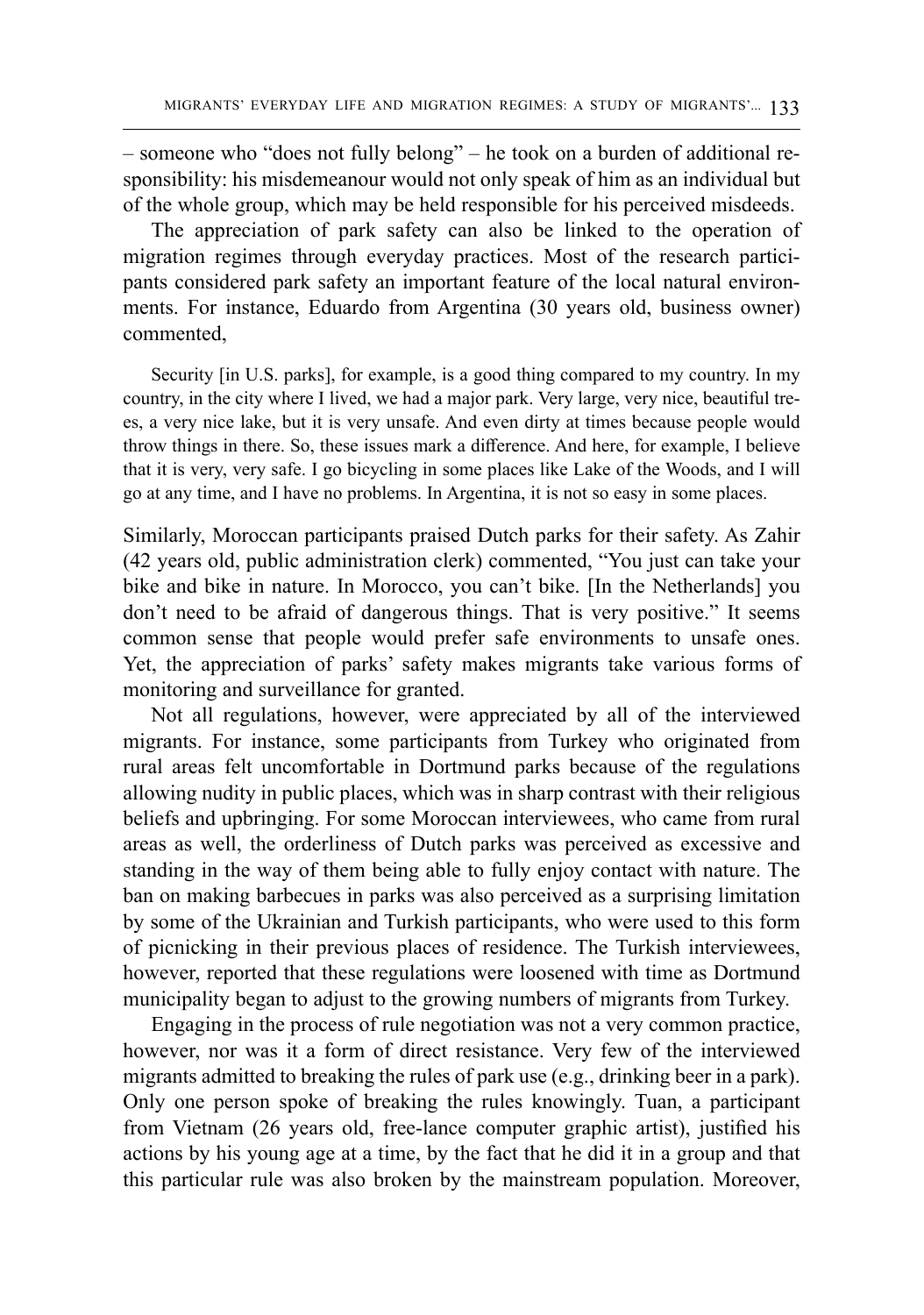– someone who "does not fully belong" – he took on a burden of additional responsibility: his misdemeanour would not only speak of him as an individual but of the whole group, which may be held responsible for his perceived misdeeds.

The appreciation of park safety can also be linked to the operation of migration regimes through everyday practices. Most of the research participants considered park safety an important feature of the local natural environments. For instance, Eduardo from Argentina (30 years old, business owner) commented,

Security [in U.S. parks], for example, is a good thing compared to my country. In my country, in the city where I lived, we had a major park. Very large, very nice, beautiful trees, a very nice lake, but it is very unsafe. And even dirty at times because people would throw things in there. So, these issues mark a difference. And here, for example, I believe that it is very, very safe. I go bicycling in some places like Lake of the Woods, and I will go at any time, and I have no problems. In Argentina, it is not so easy in some places.

Similarly, Moroccan participants praised Dutch parks for their safety. As Zahir (42 years old, public administration clerk) commented, "You just can take your bike and bike in nature. In Morocco, you can't bike. [In the Netherlands] you don't need to be afraid of dangerous things. That is very positive." It seems common sense that people would prefer safe environments to unsafe ones. Yet, the appreciation of parks' safety makes migrants take various forms of monitoring and surveillance for granted.

Not all regulations, however, were appreciated by all of the interviewed migrants. For instance, some participants from Turkey who originated from rural areas felt uncomfortable in Dortmund parks because of the regulations allowing nudity in public places, which was in sharp contrast with their religious beliefs and upbringing. For some Moroccan interviewees, who came from rural areas as well, the orderliness of Dutch parks was perceived as excessive and standing in the way of them being able to fully enjoy contact with nature. The ban on making barbecues in parks was also perceived as a surprising limitation by some of the Ukrainian and Turkish participants, who were used to this form of picnicking in their previous places of residence. The Turkish interviewees, however, reported that these regulations were loosened with time as Dortmund municipality began to adjust to the growing numbers of migrants from Turkey.

Engaging in the process of rule negotiation was not a very common practice, however, nor was it a form of direct resistance. Very few of the interviewed migrants admitted to breaking the rules of park use (e.g., drinking beer in a park). Only one person spoke of breaking the rules knowingly. Tuan, a participant from Vietnam (26 years old, free-lance computer graphic artist), justified his actions by his young age at a time, by the fact that he did it in a group and that this particular rule was also broken by the mainstream population. Moreover,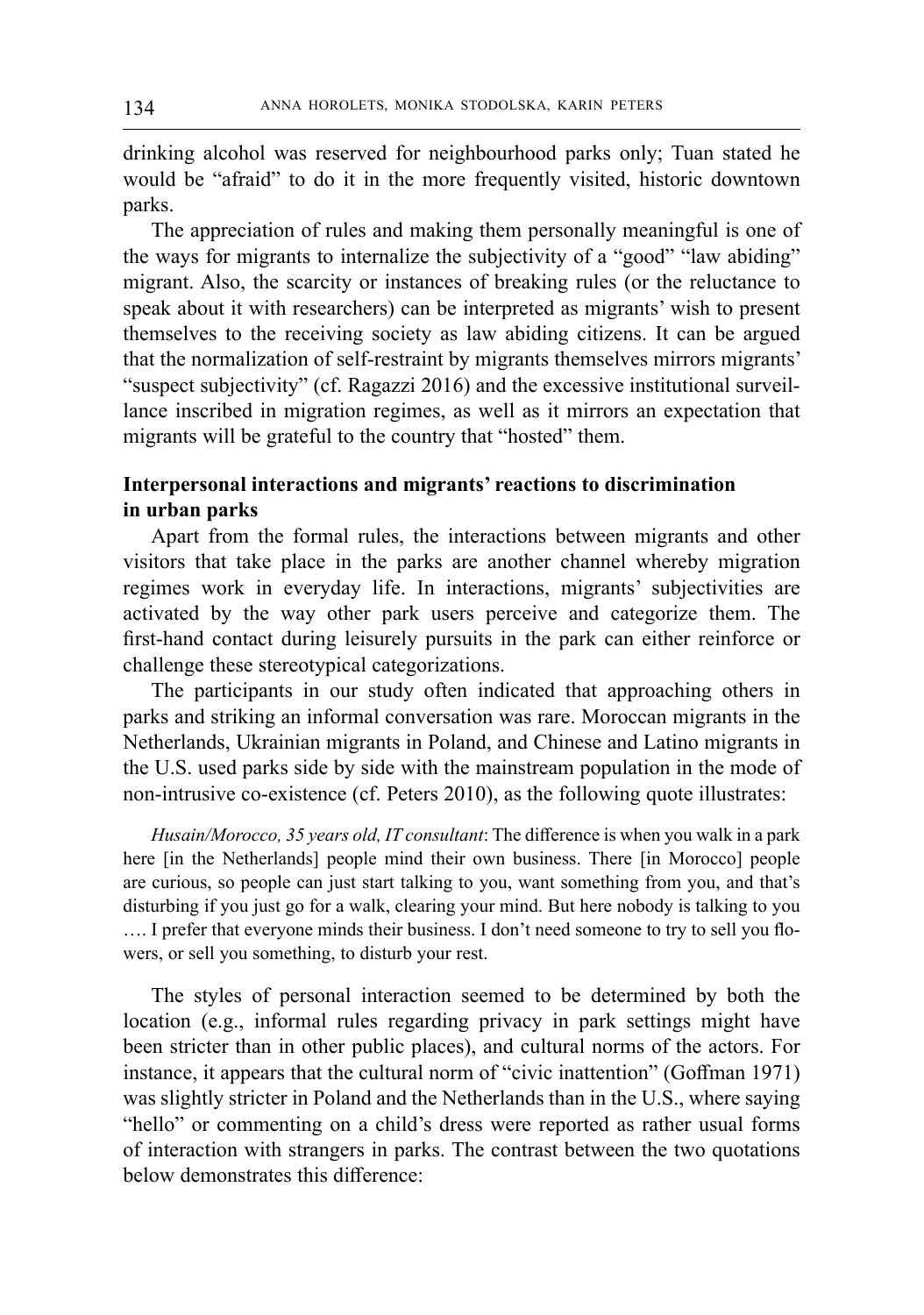drinking alcohol was reserved for neighbourhood parks only; Tuan stated he would be "afraid" to do it in the more frequently visited, historic downtown parks.

The appreciation of rules and making them personally meaningful is one of the ways for migrants to internalize the subjectivity of a "good" "law abiding" migrant. Also, the scarcity or instances of breaking rules (or the reluctance to speak about it with researchers) can be interpreted as migrants' wish to present themselves to the receiving society as law abiding citizens. It can be argued that the normalization of self-restraint by migrants themselves mirrors migrants' "suspect subjectivity" (cf. Ragazzi 2016) and the excessive institutional surveillance inscribed in migration regimes, as well as it mirrors an expectation that migrants will be grateful to the country that "hosted" them.

# **Interpersonal interactions and migrants' reactions to discrimination in urban parks**

Apart from the formal rules, the interactions between migrants and other visitors that take place in the parks are another channel whereby migration regimes work in everyday life. In interactions, migrants' subjectivities are activated by the way other park users perceive and categorize them. The first-hand contact during leisurely pursuits in the park can either reinforce or challenge these stereotypical categorizations.

The participants in our study often indicated that approaching others in parks and striking an informal conversation was rare. Moroccan migrants in the Netherlands, Ukrainian migrants in Poland, and Chinese and Latino migrants in the U.S. used parks side by side with the mainstream population in the mode of non-intrusive co-existence (cf. Peters 2010), as the following quote illustrates:

*Husain/Morocco, 35 years old, IT consultant*: The difference is when you walk in a park here [in the Netherlands] people mind their own business. There [in Morocco] people are curious, so people can just start talking to you, want something from you, and that's disturbing if you just go for a walk, clearing your mind. But here nobody is talking to you …. I prefer that everyone minds their business. I don't need someone to try to sell you flowers, or sell you something, to disturb your rest.

The styles of personal interaction seemed to be determined by both the location (e.g., informal rules regarding privacy in park settings might have been stricter than in other public places), and cultural norms of the actors. For instance, it appears that the cultural norm of "civic inattention" (Goffman 1971) was slightly stricter in Poland and the Netherlands than in the U.S., where saying "hello" or commenting on a child's dress were reported as rather usual forms of interaction with strangers in parks. The contrast between the two quotations below demonstrates this difference: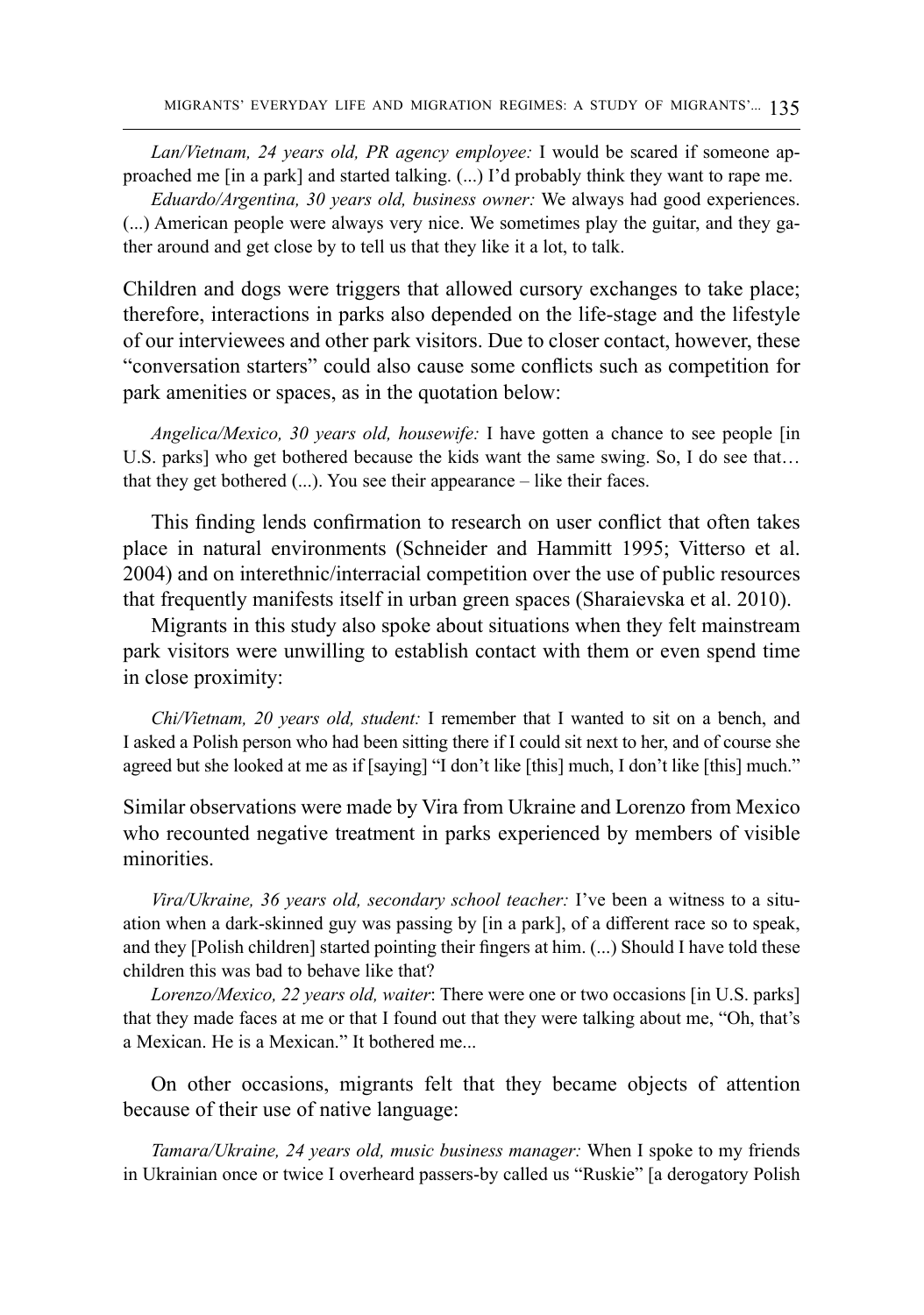*Lan/Vietnam, 24 years old, PR agency employee:* I would be scared if someone approached me [in a park] and started talking. (...) I'd probably think they want to rape me.

*Eduardo/Argentina, 30 years old, business owner:* We always had good experiences. (...) American people were always very nice. We sometimes play the guitar, and they gather around and get close by to tell us that they like it a lot, to talk.

Children and dogs were triggers that allowed cursory exchanges to take place; therefore, interactions in parks also depended on the life-stage and the lifestyle of our interviewees and other park visitors. Due to closer contact, however, these "conversation starters" could also cause some conflicts such as competition for park amenities or spaces, as in the quotation below:

*Angelica/Mexico, 30 years old, housewife:* I have gotten a chance to see people [in U.S. parks] who get bothered because the kids want the same swing. So, I do see that… that they get bothered (...). You see their appearance – like their faces.

This finding lends confirmation to research on user conflict that often takes place in natural environments (Schneider and Hammitt 1995; Vitterso et al. 2004) and on interethnic/interracial competition over the use of public resources that frequently manifests itself in urban green spaces (Sharaievska et al. 2010).

Migrants in this study also spoke about situations when they felt mainstream park visitors were unwilling to establish contact with them or even spend time in close proximity:

*Chi/Vietnam, 20 years old, student:* I remember that I wanted to sit on a bench, and I asked a Polish person who had been sitting there if I could sit next to her, and of course she agreed but she looked at me as if [saying] "I don't like [this] much, I don't like [this] much."

Similar observations were made by Vira from Ukraine and Lorenzo from Mexico who recounted negative treatment in parks experienced by members of visible minorities.

*Vira/Ukraine, 36 years old, secondary school teacher:* I've been a witness to a situation when a dark-skinned guy was passing by [in a park], of a different race so to speak, and they [Polish children] started pointing their fingers at him. (...) Should I have told these children this was bad to behave like that?

*Lorenzo/Mexico, 22 years old, waiter*: There were one or two occasions [in U.S. parks] that they made faces at me or that I found out that they were talking about me, "Oh, that's a Mexican. He is a Mexican." It bothered me...

On other occasions, migrants felt that they became objects of attention because of their use of native language:

*Tamara/Ukraine, 24 years old, music business manager:* When I spoke to my friends in Ukrainian once or twice I overheard passers-by called us "Ruskie" [a derogatory Polish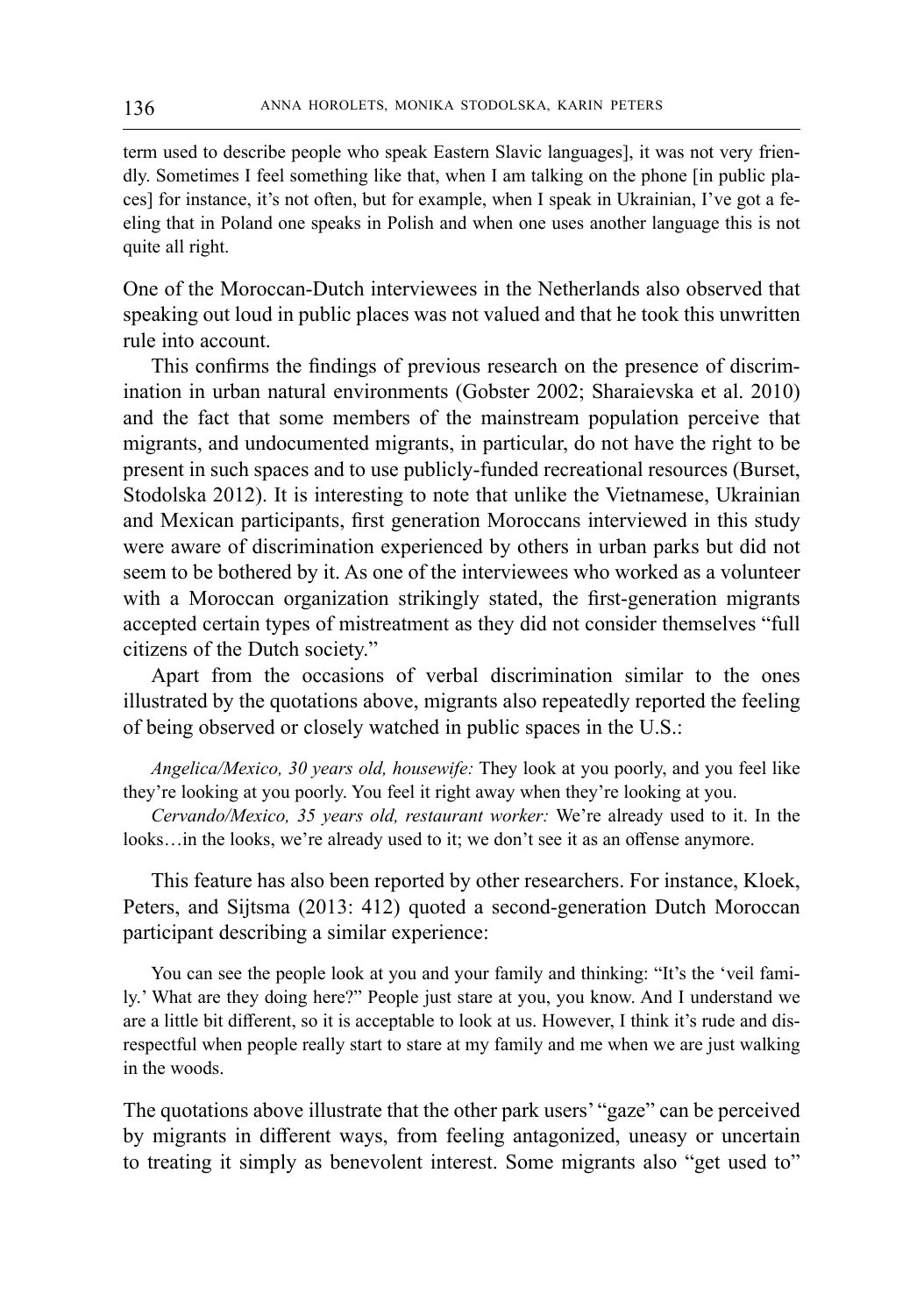term used to describe people who speak Eastern Slavic languages], it was not very friendly. Sometimes I feel something like that, when I am talking on the phone [in public places] for instance, it's not often, but for example, when I speak in Ukrainian, I've got a feeling that in Poland one speaks in Polish and when one uses another language this is not quite all right.

One of the Moroccan-Dutch interviewees in the Netherlands also observed that speaking out loud in public places was not valued and that he took this unwritten rule into account.

This confirms the findings of previous research on the presence of discrimination in urban natural environments (Gobster 2002; Sharaievska et al. 2010) and the fact that some members of the mainstream population perceive that migrants, and undocumented migrants, in particular, do not have the right to be present in such spaces and to use publicly-funded recreational resources (Burset, Stodolska 2012). It is interesting to note that unlike the Vietnamese, Ukrainian and Mexican participants, first generation Moroccans interviewed in this study were aware of discrimination experienced by others in urban parks but did not seem to be bothered by it. As one of the interviewees who worked as a volunteer with a Moroccan organization strikingly stated, the first-generation migrants accepted certain types of mistreatment as they did not consider themselves "full citizens of the Dutch society."

Apart from the occasions of verbal discrimination similar to the ones illustrated by the quotations above, migrants also repeatedly reported the feeling of being observed or closely watched in public spaces in the U.S.:

*Angelica/Mexico, 30 years old, housewife:* They look at you poorly, and you feel like they're looking at you poorly. You feel it right away when they're looking at you.

*Cervando/Mexico, 35 years old, restaurant worker:* We're already used to it. In the looks…in the looks, we're already used to it; we don't see it as an offense anymore.

This feature has also been reported by other researchers. For instance, Kloek, Peters, and Sijtsma (2013: 412) quoted a second-generation Dutch Moroccan participant describing a similar experience:

You can see the people look at you and your family and thinking: "It's the 'veil family.' What are they doing here?" People just stare at you, you know. And I understand we are a little bit different, so it is acceptable to look at us. However, I think it's rude and disrespectful when people really start to stare at my family and me when we are just walking in the woods.

The quotations above illustrate that the other park users' "gaze" can be perceived by migrants in different ways, from feeling antagonized, uneasy or uncertain to treating it simply as benevolent interest. Some migrants also "get used to"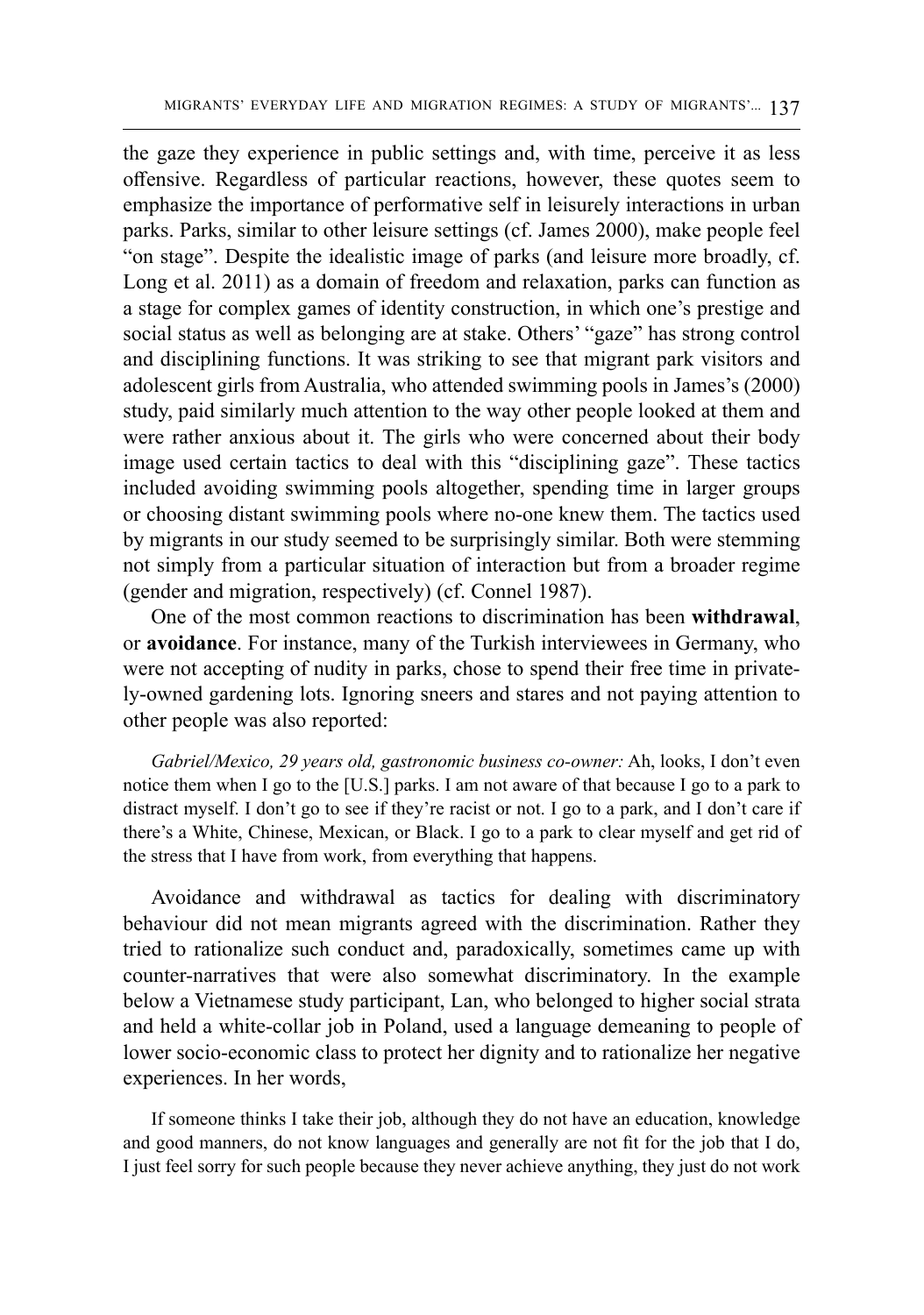the gaze they experience in public settings and, with time, perceive it as less offensive. Regardless of particular reactions, however, these quotes seem to emphasize the importance of performative self in leisurely interactions in urban parks. Parks, similar to other leisure settings (cf. James 2000), make people feel "on stage". Despite the idealistic image of parks (and leisure more broadly, cf. Long et al. 2011) as a domain of freedom and relaxation, parks can function as a stage for complex games of identity construction, in which one's prestige and social status as well as belonging are at stake. Others' "gaze" has strong control and disciplining functions. It was striking to see that migrant park visitors and adolescent girls from Australia, who attended swimming pools in James's (2000) study, paid similarly much attention to the way other people looked at them and were rather anxious about it. The girls who were concerned about their body image used certain tactics to deal with this "disciplining gaze". These tactics included avoiding swimming pools altogether, spending time in larger groups or choosing distant swimming pools where no-one knew them. The tactics used by migrants in our study seemed to be surprisingly similar. Both were stemming not simply from a particular situation of interaction but from a broader regime (gender and migration, respectively) (cf. Connel 1987).

One of the most common reactions to discrimination has been **withdrawal**, or **avoidance**. For instance, many of the Turkish interviewees in Germany, who were not accepting of nudity in parks, chose to spend their free time in privately-owned gardening lots. Ignoring sneers and stares and not paying attention to other people was also reported:

*Gabriel/Mexico, 29 years old, gastronomic business co-owner:* Ah, looks, I don't even notice them when I go to the [U.S.] parks. I am not aware of that because I go to a park to distract myself. I don't go to see if they're racist or not. I go to a park, and I don't care if there's a White, Chinese, Mexican, or Black. I go to a park to clear myself and get rid of the stress that I have from work, from everything that happens.

Avoidance and withdrawal as tactics for dealing with discriminatory behaviour did not mean migrants agreed with the discrimination. Rather they tried to rationalize such conduct and, paradoxically, sometimes came up with counter-narratives that were also somewhat discriminatory. In the example below a Vietnamese study participant, Lan, who belonged to higher social strata and held a white-collar job in Poland, used a language demeaning to people of lower socio-economic class to protect her dignity and to rationalize her negative experiences. In her words,

If someone thinks I take their job, although they do not have an education, knowledge and good manners, do not know languages and generally are not fit for the job that I do, I just feel sorry for such people because they never achieve anything, they just do not work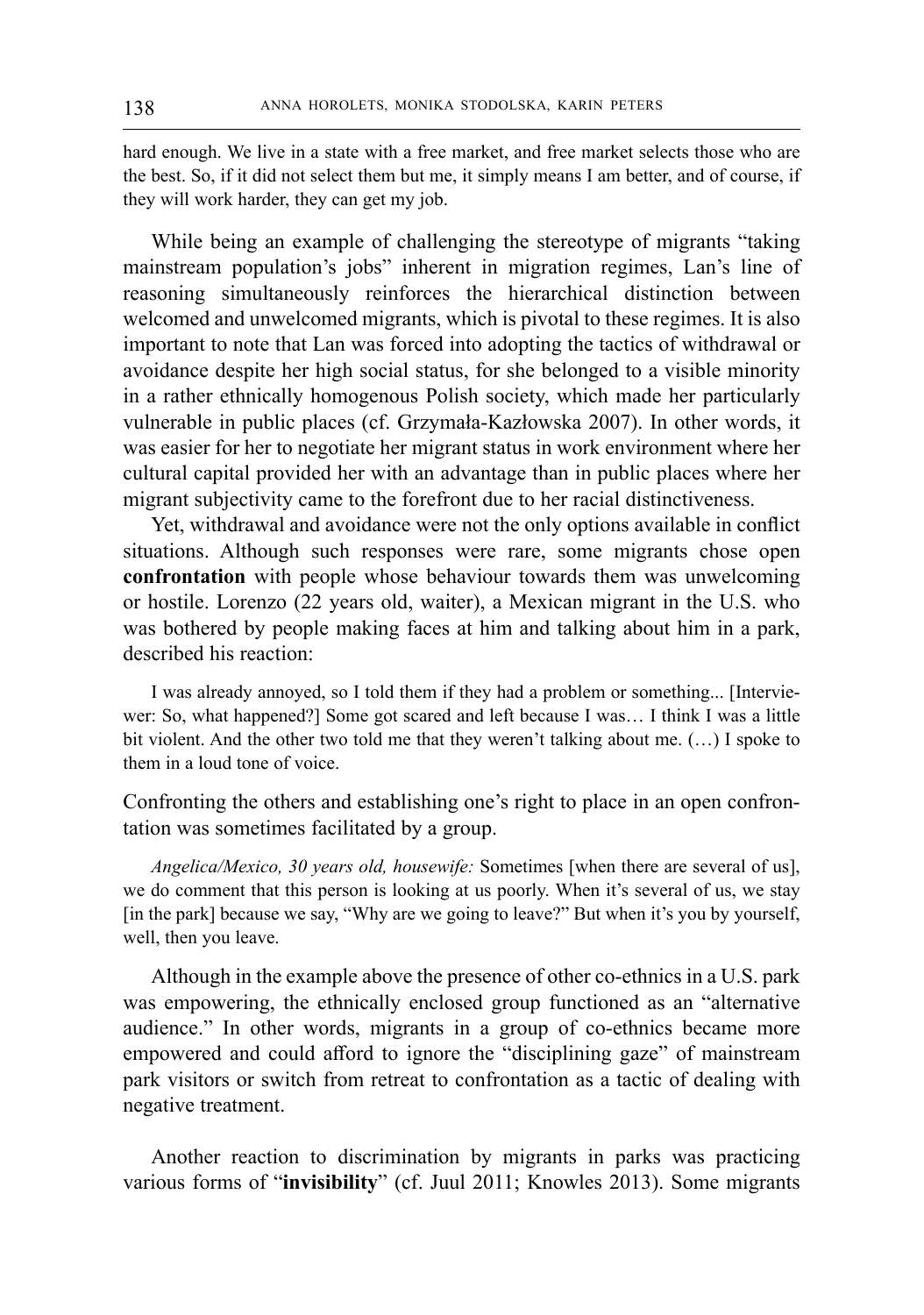hard enough. We live in a state with a free market, and free market selects those who are the best. So, if it did not select them but me, it simply means I am better, and of course, if they will work harder, they can get my job.

While being an example of challenging the stereotype of migrants "taking mainstream population's jobs" inherent in migration regimes, Lan's line of reasoning simultaneously reinforces the hierarchical distinction between welcomed and unwelcomed migrants, which is pivotal to these regimes. It is also important to note that Lan was forced into adopting the tactics of withdrawal or avoidance despite her high social status, for she belonged to a visible minority in a rather ethnically homogenous Polish society, which made her particularly vulnerable in public places (cf. Grzymała-Kazłowska 2007). In other words, it was easier for her to negotiate her migrant status in work environment where her cultural capital provided her with an advantage than in public places where her migrant subjectivity came to the forefront due to her racial distinctiveness.

Yet, withdrawal and avoidance were not the only options available in conflict situations. Although such responses were rare, some migrants chose open **confrontation** with people whose behaviour towards them was unwelcoming or hostile. Lorenzo (22 years old, waiter), a Mexican migrant in the U.S. who was bothered by people making faces at him and talking about him in a park, described his reaction:

I was already annoyed, so I told them if they had a problem or something... [Interviewer: So, what happened?] Some got scared and left because I was… I think I was a little bit violent. And the other two told me that they weren't talking about me. (…) I spoke to them in a loud tone of voice.

Confronting the others and establishing one's right to place in an open confrontation was sometimes facilitated by a group.

*Angelica/Mexico, 30 years old, housewife:* Sometimes [when there are several of us], we do comment that this person is looking at us poorly. When it's several of us, we stay [in the park] because we say, "Why are we going to leave?" But when it's you by yourself, well, then you leave.

Although in the example above the presence of other co-ethnics in a U.S. park was empowering, the ethnically enclosed group functioned as an "alternative audience." In other words, migrants in a group of co-ethnics became more empowered and could afford to ignore the "disciplining gaze" of mainstream park visitors or switch from retreat to confrontation as a tactic of dealing with negative treatment.

Another reaction to discrimination by migrants in parks was practicing various forms of "**invisibility**" (cf. Juul 2011; Knowles 2013). Some migrants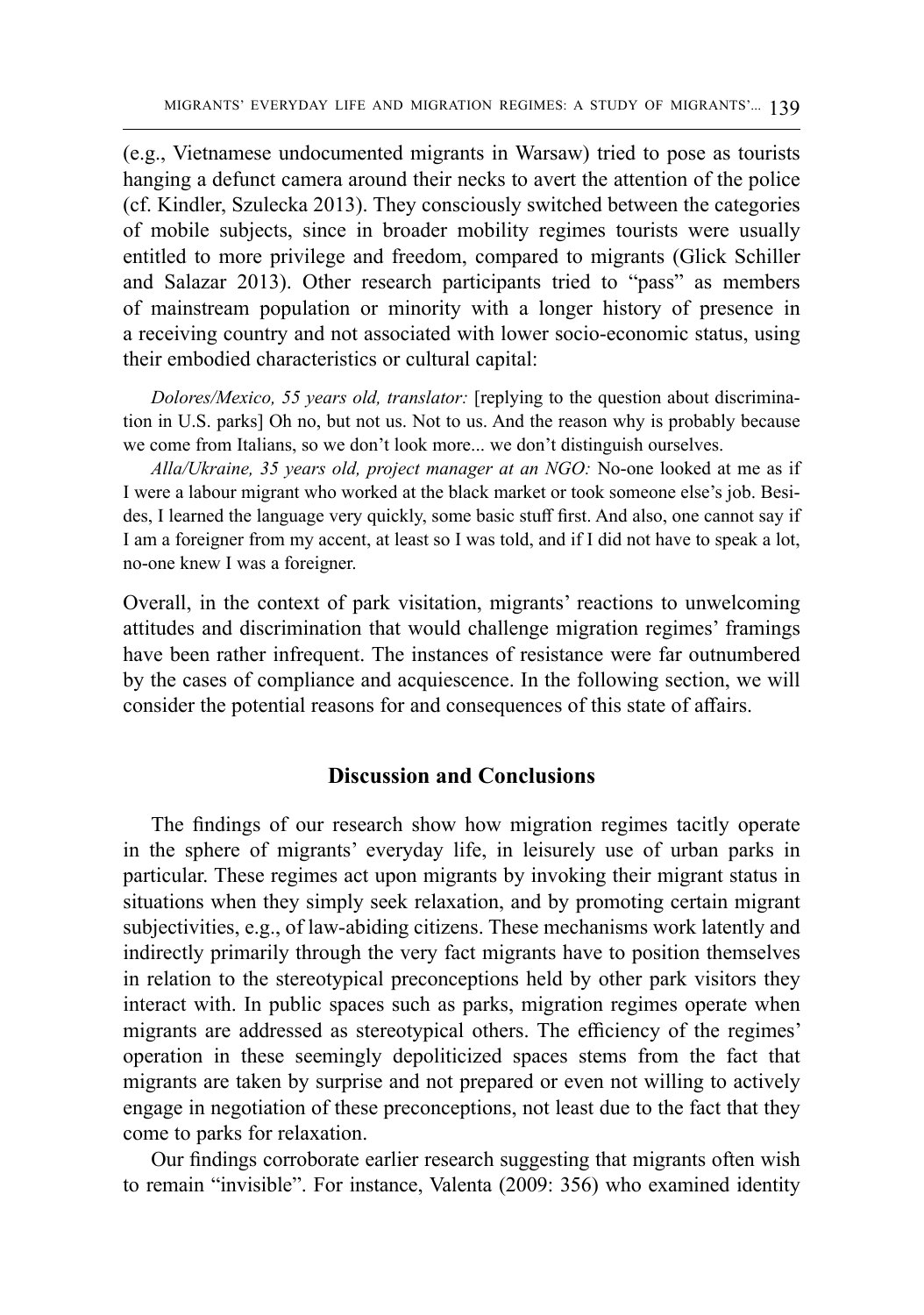(e.g., Vietnamese undocumented migrants in Warsaw) tried to pose as tourists hanging a defunct camera around their necks to avert the attention of the police (cf. Kindler, Szulecka 2013). They consciously switched between the categories of mobile subjects, since in broader mobility regimes tourists were usually entitled to more privilege and freedom, compared to migrants (Glick Schiller and Salazar 2013). Other research participants tried to "pass" as members of mainstream population or minority with a longer history of presence in a receiving country and not associated with lower socio-economic status, using their embodied characteristics or cultural capital:

*Dolores/Mexico, 55 years old, translator:* [replying to the question about discrimination in U.S. parks] Oh no, but not us. Not to us. And the reason why is probably because we come from Italians, so we don't look more... we don't distinguish ourselves.

*Alla/Ukraine, 35 years old, project manager at an NGO:* No-one looked at me as if I were a labour migrant who worked at the black market or took someone else's job. Besides, I learned the language very quickly, some basic stuff first. And also, one cannot say if I am a foreigner from my accent, at least so I was told, and if I did not have to speak a lot, no-one knew I was a foreigner.

Overall, in the context of park visitation, migrants' reactions to unwelcoming attitudes and discrimination that would challenge migration regimes' framings have been rather infrequent. The instances of resistance were far outnumbered by the cases of compliance and acquiescence. In the following section, we will consider the potential reasons for and consequences of this state of affairs.

## **Discussion and Conclusions**

The findings of our research show how migration regimes tacitly operate in the sphere of migrants' everyday life, in leisurely use of urban parks in particular. These regimes act upon migrants by invoking their migrant status in situations when they simply seek relaxation, and by promoting certain migrant subjectivities, e.g., of law-abiding citizens. These mechanisms work latently and indirectly primarily through the very fact migrants have to position themselves in relation to the stereotypical preconceptions held by other park visitors they interact with. In public spaces such as parks, migration regimes operate when migrants are addressed as stereotypical others. The efficiency of the regimes' operation in these seemingly depoliticized spaces stems from the fact that migrants are taken by surprise and not prepared or even not willing to actively engage in negotiation of these preconceptions, not least due to the fact that they come to parks for relaxation.

Our findings corroborate earlier research suggesting that migrants often wish to remain "invisible". For instance, Valenta (2009: 356) who examined identity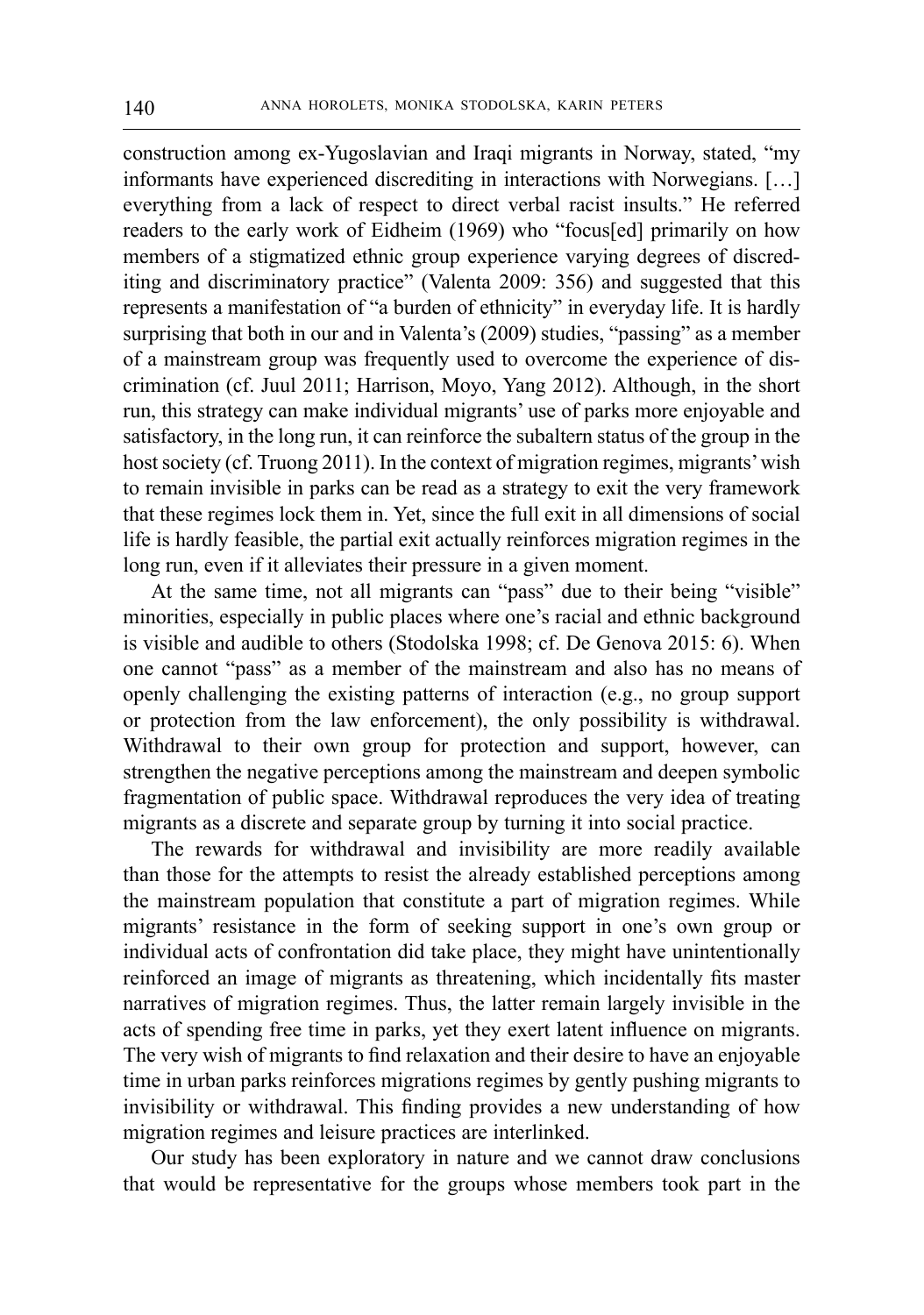construction among ex-Yugoslavian and Iraqi migrants in Norway, stated, "my informants have experienced discrediting in interactions with Norwegians. […] everything from a lack of respect to direct verbal racist insults." He referred readers to the early work of Eidheim (1969) who "focus[ed] primarily on how members of a stigmatized ethnic group experience varying degrees of discrediting and discriminatory practice" (Valenta 2009: 356) and suggested that this represents a manifestation of "a burden of ethnicity" in everyday life. It is hardly surprising that both in our and in Valenta's (2009) studies, "passing" as a member of a mainstream group was frequently used to overcome the experience of discrimination (cf. Juul 2011; Harrison, Moyo, Yang 2012). Although, in the short run, this strategy can make individual migrants' use of parks more enjoyable and satisfactory, in the long run, it can reinforce the subaltern status of the group in the host society (cf. Truong 2011). In the context of migration regimes, migrants' wish to remain invisible in parks can be read as a strategy to exit the very framework that these regimes lock them in. Yet, since the full exit in all dimensions of social life is hardly feasible, the partial exit actually reinforces migration regimes in the long run, even if it alleviates their pressure in a given moment.

At the same time, not all migrants can "pass" due to their being "visible" minorities, especially in public places where one's racial and ethnic background is visible and audible to others (Stodolska 1998; cf. De Genova 2015: 6). When one cannot "pass" as a member of the mainstream and also has no means of openly challenging the existing patterns of interaction (e.g., no group support or protection from the law enforcement), the only possibility is withdrawal. Withdrawal to their own group for protection and support, however, can strengthen the negative perceptions among the mainstream and deepen symbolic fragmentation of public space. Withdrawal reproduces the very idea of treating migrants as a discrete and separate group by turning it into social practice.

The rewards for withdrawal and invisibility are more readily available than those for the attempts to resist the already established perceptions among the mainstream population that constitute a part of migration regimes. While migrants' resistance in the form of seeking support in one's own group or individual acts of confrontation did take place, they might have unintentionally reinforced an image of migrants as threatening, which incidentally fits master narratives of migration regimes. Thus, the latter remain largely invisible in the acts of spending free time in parks, yet they exert latent influence on migrants. The very wish of migrants to find relaxation and their desire to have an enjoyable time in urban parks reinforces migrations regimes by gently pushing migrants to invisibility or withdrawal. This finding provides a new understanding of how migration regimes and leisure practices are interlinked.

Our study has been exploratory in nature and we cannot draw conclusions that would be representative for the groups whose members took part in the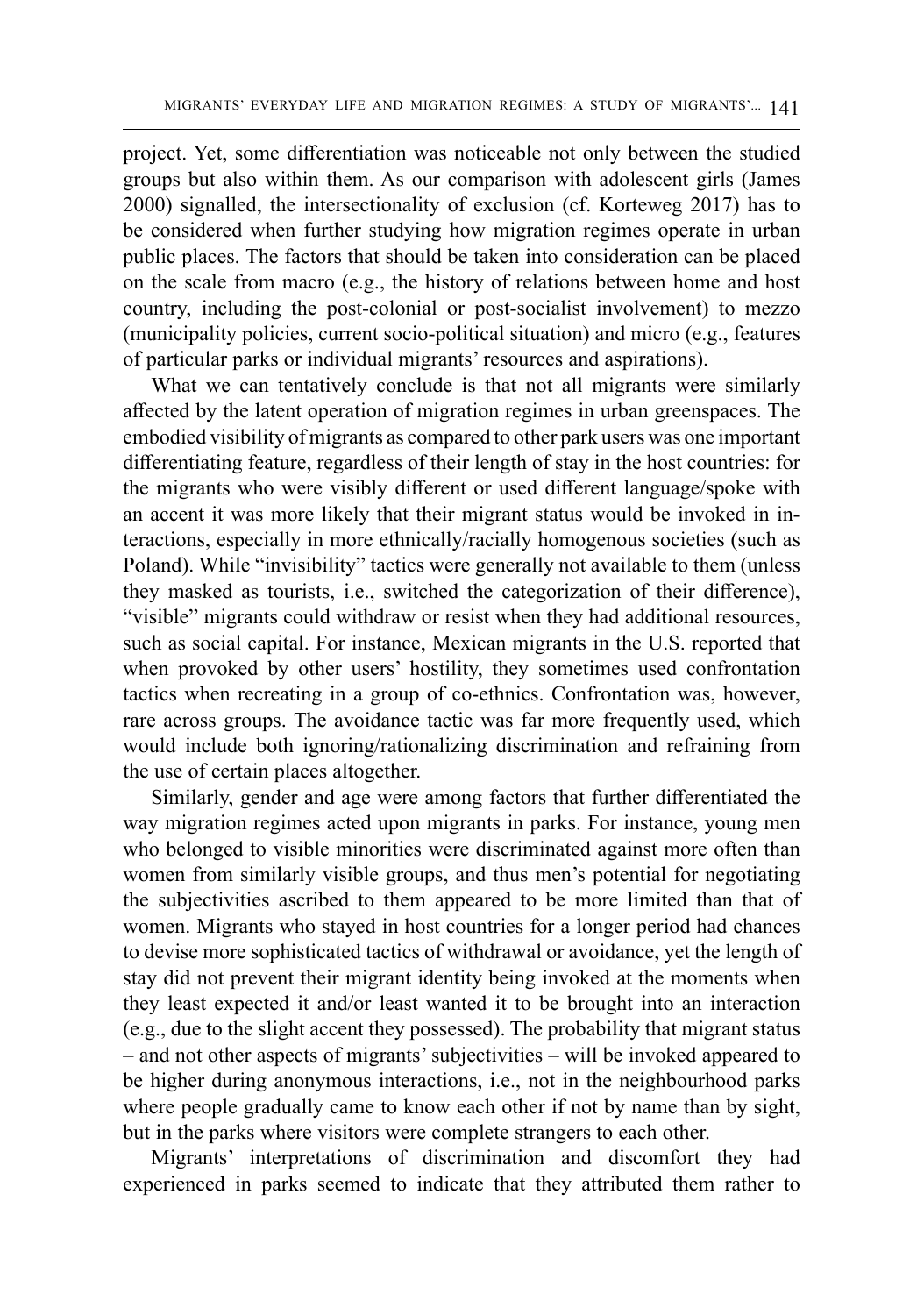project. Yet, some differentiation was noticeable not only between the studied groups but also within them. As our comparison with adolescent girls (James 2000) signalled, the intersectionality of exclusion (cf. Korteweg 2017) has to be considered when further studying how migration regimes operate in urban public places. The factors that should be taken into consideration can be placed on the scale from macro (e.g., the history of relations between home and host country, including the post-colonial or post-socialist involvement) to mezzo (municipality policies, current socio-political situation) and micro (e.g., features of particular parks or individual migrants' resources and aspirations).

What we can tentatively conclude is that not all migrants were similarly affected by the latent operation of migration regimes in urban greenspaces. The embodied visibility of migrants as compared to other park users was one important differentiating feature, regardless of their length of stay in the host countries: for the migrants who were visibly different or used different language/spoke with an accent it was more likely that their migrant status would be invoked in interactions, especially in more ethnically/racially homogenous societies (such as Poland). While "invisibility" tactics were generally not available to them (unless they masked as tourists, i.e., switched the categorization of their difference), "visible" migrants could withdraw or resist when they had additional resources, such as social capital. For instance, Mexican migrants in the U.S. reported that when provoked by other users' hostility, they sometimes used confrontation tactics when recreating in a group of co-ethnics. Confrontation was, however, rare across groups. The avoidance tactic was far more frequently used, which would include both ignoring/rationalizing discrimination and refraining from the use of certain places altogether.

Similarly, gender and age were among factors that further differentiated the way migration regimes acted upon migrants in parks. For instance, young men who belonged to visible minorities were discriminated against more often than women from similarly visible groups, and thus men's potential for negotiating the subjectivities ascribed to them appeared to be more limited than that of women. Migrants who stayed in host countries for a longer period had chances to devise more sophisticated tactics of withdrawal or avoidance, yet the length of stay did not prevent their migrant identity being invoked at the moments when they least expected it and/or least wanted it to be brought into an interaction (e.g., due to the slight accent they possessed). The probability that migrant status – and not other aspects of migrants' subjectivities – will be invoked appeared to be higher during anonymous interactions, i.e., not in the neighbourhood parks where people gradually came to know each other if not by name than by sight, but in the parks where visitors were complete strangers to each other.

Migrants' interpretations of discrimination and discomfort they had experienced in parks seemed to indicate that they attributed them rather to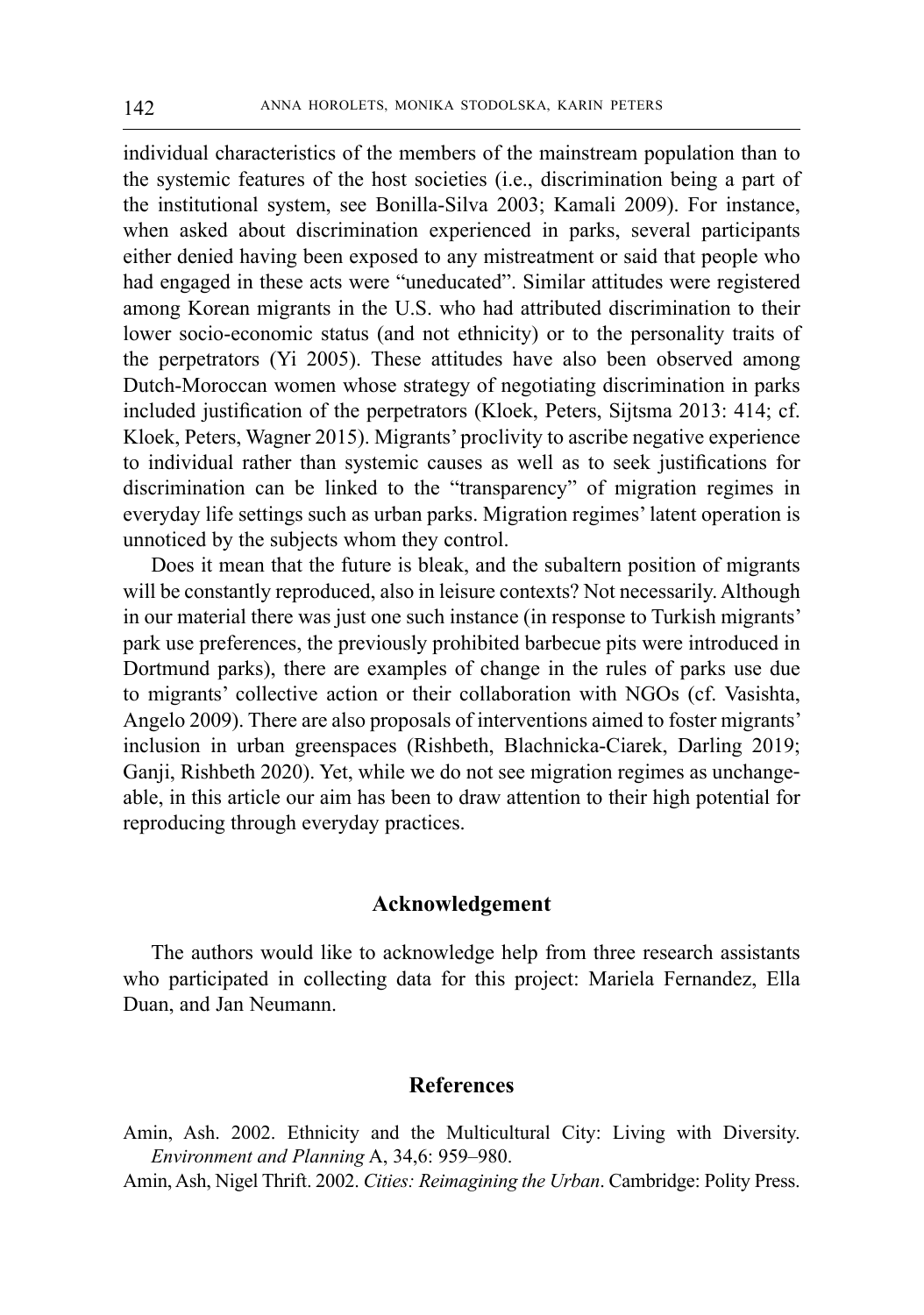individual characteristics of the members of the mainstream population than to the systemic features of the host societies (i.e., discrimination being a part of the institutional system, see Bonilla-Silva 2003; Kamali 2009). For instance, when asked about discrimination experienced in parks, several participants either denied having been exposed to any mistreatment or said that people who had engaged in these acts were "uneducated". Similar attitudes were registered among Korean migrants in the U.S. who had attributed discrimination to their lower socio-economic status (and not ethnicity) or to the personality traits of the perpetrators (Yi 2005). These attitudes have also been observed among Dutch-Moroccan women whose strategy of negotiating discrimination in parks included justification of the perpetrators (Kloek, Peters, Sijtsma 2013: 414; cf. Kloek, Peters, Wagner 2015). Migrants' proclivity to ascribe negative experience to individual rather than systemic causes as well as to seek justifications for discrimination can be linked to the "transparency" of migration regimes in everyday life settings such as urban parks. Migration regimes' latent operation is unnoticed by the subjects whom they control.

Does it mean that the future is bleak, and the subaltern position of migrants will be constantly reproduced, also in leisure contexts? Not necessarily. Although in our material there was just one such instance (in response to Turkish migrants' park use preferences, the previously prohibited barbecue pits were introduced in Dortmund parks), there are examples of change in the rules of parks use due to migrants' collective action or their collaboration with NGOs (cf. Vasishta, Angelo 2009). There are also proposals of interventions aimed to foster migrants' inclusion in urban greenspaces (Rishbeth, Blachnicka-Ciarek, Darling 2019; Ganji, Rishbeth 2020). Yet, while we do not see migration regimes as unchangeable, in this article our aim has been to draw attention to their high potential for reproducing through everyday practices.

#### **Acknowledgement**

The authors would like to acknowledge help from three research assistants who participated in collecting data for this project: Mariela Fernandez, Ella Duan, and Jan Neumann.

#### **References**

- Amin, Ash. 2002. Ethnicity and the Multicultural City: Living with Diversity. *Environment and Planning* A, 34,6: 959–980.
- Amin, Ash, Nigel Thrift. 2002. *Cities: Reimagining the Urban*. Cambridge: Polity Press.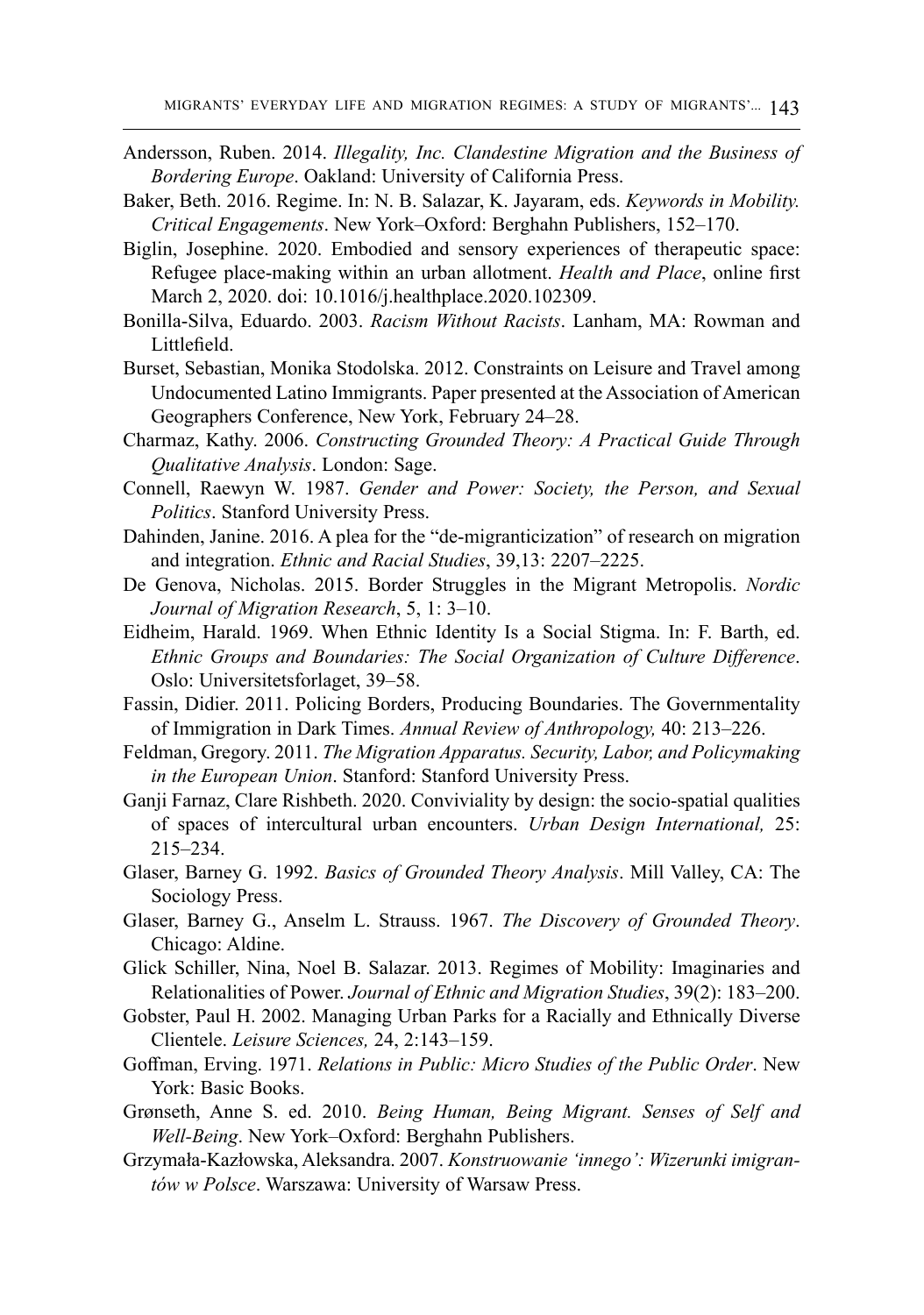- Andersson, Ruben. 2014. *Illegality, Inc. Clandestine Migration and the Business of Bordering Europe*. Oakland: University of California Press.
- Baker, Beth. 2016. Regime. In: N. B. Salazar, K. Jayaram, eds. *Keywords in Mobility. Critical Engagements*. New York–Oxford: Berghahn Publishers, 152–170.
- Biglin, Josephine. 2020. Embodied and sensory experiences of therapeutic space: Refugee place-making within an urban allotment. *Health and Place*, online first March 2, 2020. doi: 10.1016/j.healthplace.2020.102309.
- Bonilla-Silva, Eduardo. 2003. *Racism Without Racists*. Lanham, MA: Rowman and Littlefield.
- Burset, Sebastian, Monika Stodolska. 2012. Constraints on Leisure and Travel among Undocumented Latino Immigrants. Paper presented at the Association of American Geographers Conference, New York, February 24–28.
- Charmaz, Kathy. 2006. *Constructing Grounded Theory: A Practical Guide Through Qualitative Analysis*. London: Sage.
- Connell, Raewyn W. 1987. *Gender and Power: Society, the Person, and Sexual Politics*. Stanford University Press.
- Dahinden, Janine. 2016. A plea for the "de-migranticization" of research on migration and integration. *Ethnic and Racial Studies*, 39,13: 2207–2225.
- De Genova, Nicholas. 2015. Border Struggles in the Migrant Metropolis. *Nordic Journal of Migration Research*, 5, 1: 3–10.
- Eidheim, Harald. 1969. When Ethnic Identity Is a Social Stigma. In: F. Barth, ed. *Ethnic Groups and Boundaries: The Social Organization of Culture Difference*. Oslo: Universitetsforlaget, 39–58.
- Fassin, Didier. 2011. Policing Borders, Producing Boundaries. The Governmentality of Immigration in Dark Times. *Annual Review of Anthropology,* 40: 213–226.
- Feldman, Gregory. 2011. *The Migration Apparatus. Security, Labor, and Policymaking in the European Union*. Stanford: Stanford University Press.
- Ganji Farnaz, Clare Rishbeth. 2020. Conviviality by design: the socio-spatial qualities of spaces of intercultural urban encounters. *Urban Design International,* 25: 215–234.
- Glaser, Barney G. 1992. *Basics of Grounded Theory Analysis*. Mill Valley, CA: The Sociology Press.
- Glaser, Barney G., Anselm L. Strauss. 1967. *The Discovery of Grounded Theory*. Chicago: Aldine.
- Glick Schiller, Nina, Noel B. Salazar. 2013. Regimes of Mobility: Imaginaries and Relationalities of Power. *Journal of Ethnic and Migration Studies*, 39(2): 183–200.
- Gobster, Paul H. 2002. Managing Urban Parks for a Racially and Ethnically Diverse Clientele. *Leisure Sciences,* 24, 2:143–159.
- Goffman, Erving. 1971. *Relations in Public: Micro Studies of the Public Order*. New York: Basic Books.
- Grønseth, Anne S. ed. 2010. *Being Human, Being Migrant. Senses of Self and Well-Being*. New York–Oxford: Berghahn Publishers.
- Grzymała-Kazłowska, Aleksandra. 2007. *Konstruowanie 'innego': Wizerunki imigrantów w Polsce*. Warszawa: University of Warsaw Press.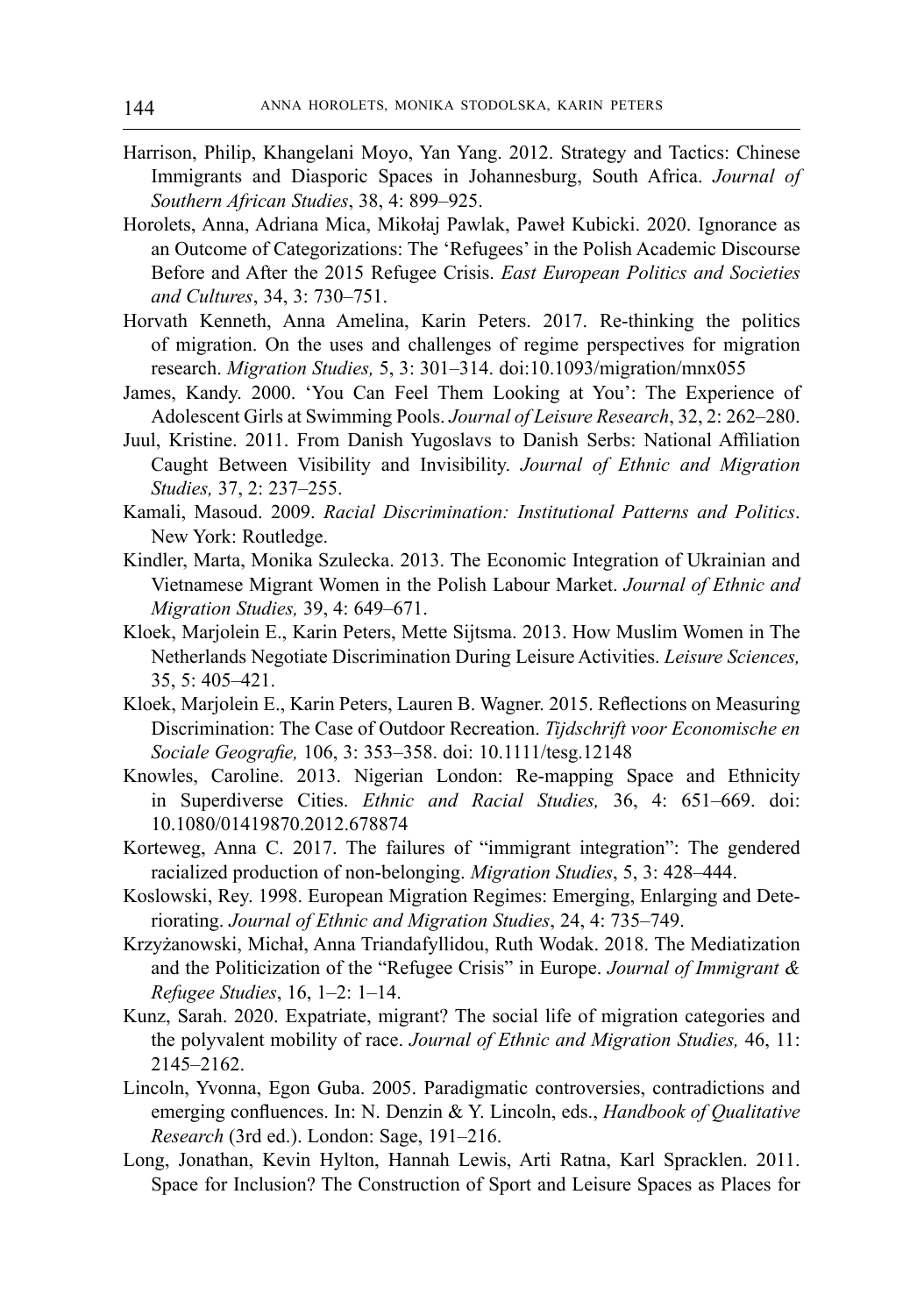- Harrison, Philip, Khangelani Moyo, Yan Yang. 2012. Strategy and Tactics: Chinese Immigrants and Diasporic Spaces in Johannesburg, South Africa. *Journal of Southern African Studies*, 38, 4: 899–925.
- Horolets, Anna, Adriana Mica, Mikołaj Pawlak, Paweł Kubicki. 2020. Ignorance as an Outcome of Categorizations: The 'Refugees' in the Polish Academic Discourse Before and After the 2015 Refugee Crisis. *East European Politics and Societies and Cultures*, 34, 3: 730–751.
- Horvath Kenneth, Anna Amelina, Karin Peters. 2017. Re-thinking the politics of migration. On the uses and challenges of regime perspectives for migration research. *Migration Studies,* 5, 3: 301–314. doi:10.1093/migration/mnx055
- James, Kandy. 2000. 'You Can Feel Them Looking at You': The Experience of Adolescent Girls at Swimming Pools. *Journal of Leisure Research*, 32, 2: 262–280.
- Juul, Kristine. 2011. From Danish Yugoslavs to Danish Serbs: National Affiliation Caught Between Visibility and Invisibility. *Journal of Ethnic and Migration Studies,* 37, 2: 237–255.
- Kamali, Masoud. 2009. *Racial Discrimination: Institutional Patterns and Politics*. New York: Routledge.
- Kindler, Marta, Monika Szulecka. 2013. The Economic Integration of Ukrainian and Vietnamese Migrant Women in the Polish Labour Market. *Journal of Ethnic and Migration Studies,* 39, 4: 649–671.
- Kloek, Marjolein E., Karin Peters, Mette Sijtsma. 2013. How Muslim Women in The Netherlands Negotiate Discrimination During Leisure Activities. *Leisure Sciences,*  35, 5: 405–421.
- Kloek, Marjolein E., Karin Peters, Lauren B. Wagner. 2015. Reflections on Measuring Discrimination: The Case of Outdoor Recreation. *Tijdschrift voor Economische en Sociale Geografie,* 106, 3: 353–358. doi: 10.1111/tesg.12148
- Knowles, Caroline. 2013. Nigerian London: Re-mapping Space and Ethnicity in Superdiverse Cities. *Ethnic and Racial Studies,* 36, 4: 651–669. doi: 10.1080/01419870.2012.678874
- Korteweg, Anna C. 2017. The failures of "immigrant integration": The gendered racialized production of non-belonging. *Migration Studies*, 5, 3: 428–444.
- Koslowski, Rey. 1998. European Migration Regimes: Emerging, Enlarging and Deteriorating. *Journal of Ethnic and Migration Studies*, 24, 4: 735–749.
- Krzyżanowski, Michał, Anna Triandafyllidou, Ruth Wodak. 2018. The Mediatization and the Politicization of the "Refugee Crisis" in Europe. *Journal of Immigrant & Refugee Studies*, 16, 1–2: 1–14.
- Kunz, Sarah. 2020. Expatriate, migrant? The social life of migration categories and the polyvalent mobility of race. *Journal of Ethnic and Migration Studies,* 46, 11: 2145–2162.
- Lincoln, Yvonna, Egon Guba. 2005. Paradigmatic controversies, contradictions and emerging confluences. In: N. Denzin & Y. Lincoln, eds., *Handbook of Qualitative Research* (3rd ed.). London: Sage, 191–216.
- Long, Jonathan, Kevin Hylton, Hannah Lewis, Arti Ratna, Karl Spracklen. 2011. Space for Inclusion? The Construction of Sport and Leisure Spaces as Places for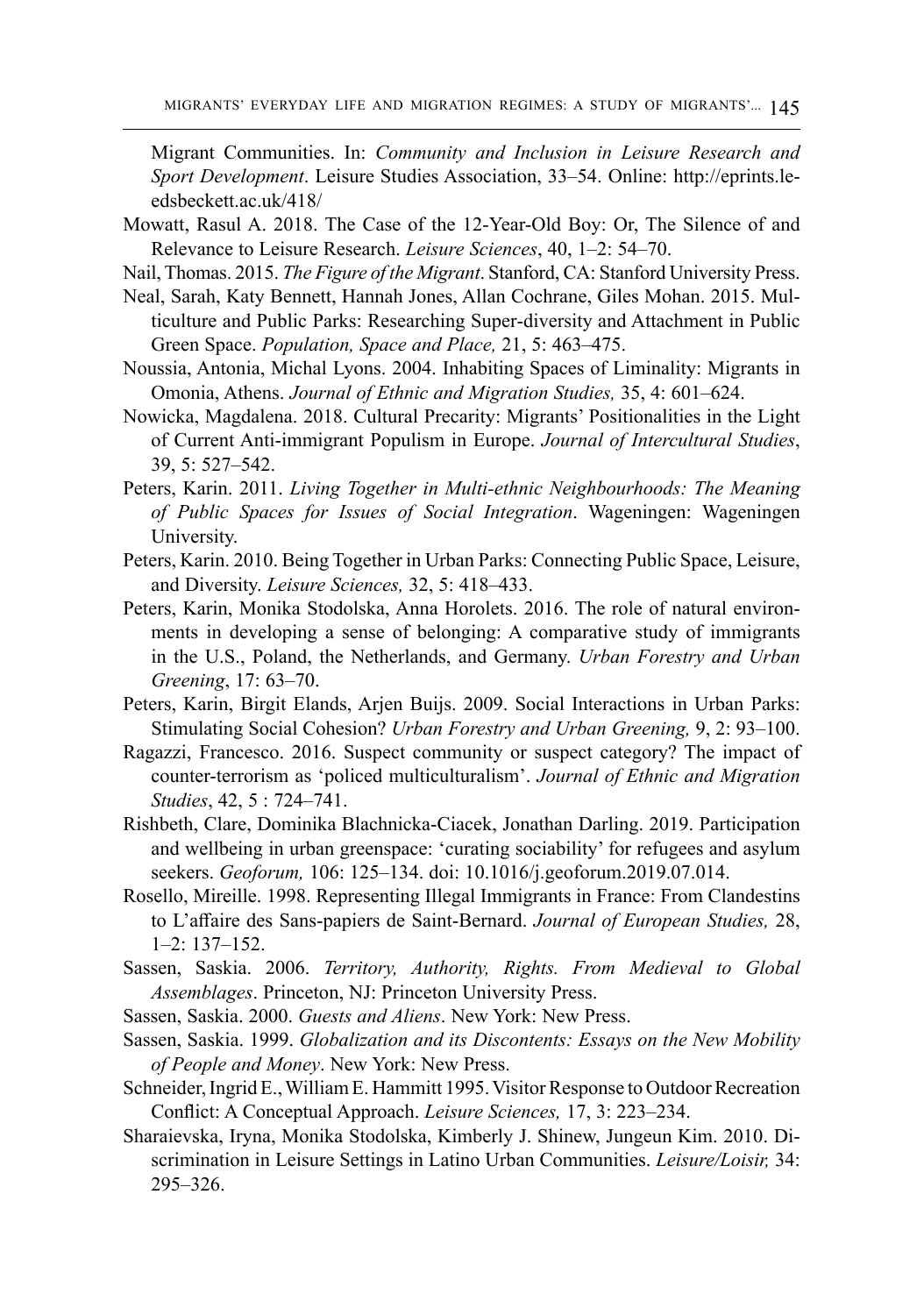Migrant Communities. In: *Community and Inclusion in Leisure Research and Sport Development*. Leisure Studies Association, 33–54. Online: [http://eprints.le](http://eprints.leedsbeckett.ac.uk/418/)[edsbeckett.ac.uk/418/](http://eprints.leedsbeckett.ac.uk/418/)

- Mowatt, Rasul A. 2018. The Case of the 12-Year-Old Boy: Or, The Silence of and Relevance to Leisure Research. *Leisure Sciences*, 40, 1–2: 54–70.
- Nail, Thomas. 2015. *The Figure of the Migrant*. Stanford, CA: Stanford University Press.
- Neal, Sarah, Katy Bennett, Hannah Jones, Allan Cochrane, Giles Mohan. 2015. Multiculture and Public Parks: Researching Super‐diversity and Attachment in Public Green Space. *Population, Space and Place,* 21, 5: 463–475.
- Noussia, Antonia, Michal Lyons. 2004. Inhabiting Spaces of Liminality: Migrants in Omonia, Athens. *Journal of Ethnic and Migration Studies,* 35, 4: 601–624.
- Nowicka, Magdalena. 2018. Cultural Precarity: Migrants' Positionalities in the Light of Current Anti-immigrant Populism in Europe. *Journal of Intercultural Studies*, 39, 5: 527–542.
- Peters, Karin. 2011. *Living Together in Multi-ethnic Neighbourhoods: The Meaning of Public Spaces for Issues of Social Integration*. Wageningen: Wageningen University.
- Peters, Karin. 2010. Being Together in Urban Parks: Connecting Public Space, Leisure, and Diversity. *Leisure Sciences,* 32, 5: 418–433.
- Peters, Karin, Monika Stodolska, Anna Horolets. 2016. The role of natural environments in developing a sense of belonging: A comparative study of immigrants in the U.S., Poland, the Netherlands, and Germany. *Urban Forestry and Urban Greening*, 17: 63–70.
- Peters, Karin, Birgit Elands, Arjen Buijs. 2009. Social Interactions in Urban Parks: Stimulating Social Cohesion? *Urban Forestry and Urban Greening,* 9, 2: 93–100.
- Ragazzi, Francesco. 2016. Suspect community or suspect category? The impact of counter-terrorism as 'policed multiculturalism'. *Journal of Ethnic and Migration Studies*, 42, 5 : 724–741.
- Rishbeth, Clare, Dominika Blachnicka-Ciacek, Jonathan Darling. 2019. Participation and wellbeing in urban greenspace: 'curating sociability' for refugees and asylum seekers. *Geoforum,* 106: 125–134. doi: 10.1016/j.geoforum.2019.07.014.
- Rosello, Mireille. 1998. Representing Illegal Immigrants in France: From Clandestins to L'affaire des Sans-papiers de Saint-Bernard. *Journal of European Studies,* 28, 1–2: 137–152.
- Sassen, Saskia. 2006. *Territory, Authority, Rights. From Medieval to Global Assemblages*. Princeton, NJ: Princeton University Press.
- Sassen, Saskia. 2000. *Guests and Aliens*. New York: New Press.
- Sassen, Saskia. 1999. *Globalization and its Discontents: Essays on the New Mobility of People and Money*. New York: New Press.
- Schneider, Ingrid E., William E. Hammitt 1995. Visitor Response to Outdoor Recreation Conflict: A Conceptual Approach. *Leisure Sciences,* 17, 3: 223–234.
- Sharaievska, Iryna, Monika Stodolska, Kimberly J. Shinew, Jungeun Kim. 2010. Discrimination in Leisure Settings in Latino Urban Communities. *Leisure/Loisir,* 34: 295–326.